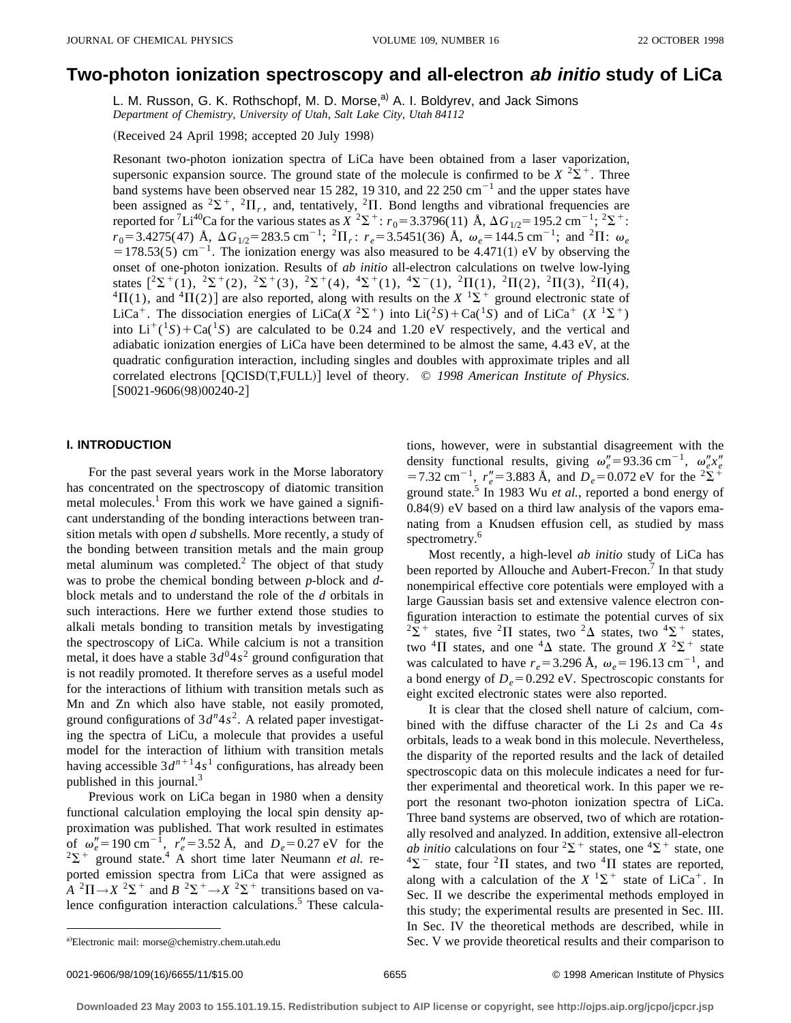# **Two-photon ionization spectroscopy and all-electron ab initio study of LiCa**

L. M. Russon, G. K. Rothschopf, M. D. Morse,<sup>a)</sup> A. I. Boldyrev, and Jack Simons *Department of Chemistry, University of Utah, Salt Lake City, Utah 84112*

(Received 24 April 1998; accepted 20 July 1998)

Resonant two-photon ionization spectra of LiCa have been obtained from a laser vaporization, supersonic expansion source. The ground state of the molecule is confirmed to be  $X^2\Sigma^+$ . Three band systems have been observed near 15 282, 19 310, and 22 250  $\text{cm}^{-1}$  and the upper states have been assigned as <sup>2</sup> $\Sigma^+$ , <sup>2</sup> $\Pi_r$ , and, tentatively, <sup>2</sup> $\Pi$ . Bond lengths and vibrational frequencies are reported for <sup>7</sup>Li<sup>40</sup>Ca for the various states as *X* <sup>2</sup> $\Sigma$ <sup>+</sup>: *r*<sub>0</sub>=3.3796(11) Å,  $\Delta G_{1/2}$ =195.2 cm<sup>-1</sup>; <sup>2</sup> $\Sigma$ <sup>+</sup>:  $r_0 = 3.4275(47)$  Å,  $\Delta G_{1/2} = 283.5$  cm<sup>-1</sup>; <sup>2</sup> $\Pi_r$ :  $r_e = 3.5451(36)$  Å,  $\omega_e = 144.5$  cm<sup>-1</sup>; and <sup>2</sup> $\Pi$ :  $\omega_e$  $=178.53(5)$  cm<sup>-1</sup>. The ionization energy was also measured to be 4.471(1) eV by observing the onset of one-photon ionization. Results of *ab initio* all-electron calculations on twelve low-lying states  $[^{2}\Sigma^{+}(1), \ ^{2}\Sigma^{+}(2), \ ^{2}\Sigma^{+}(3), \ ^{2}\Sigma^{+}(4), \ ^{4}\Sigma^{+}(1), \ ^{4}\Sigma^{-}(1), \ ^{2}\Pi(1), \ ^{2}\Pi(2), \ ^{2}\Pi(3), \ ^{2}\Pi(4),$  ${}^{4}\Pi(1)$ , and  ${}^{4}\Pi(2)$  are also reported, along with results on the *X* <sup>1</sup> $\Sigma$ <sup>+</sup> ground electronic state of LiCa<sup>+</sup>. The dissociation energies of LiCa( $X^2\Sigma^+$ ) into Li( $^2S$ )+Ca( $^1S$ ) and of LiCa<sup>+</sup> ( $X^1\Sigma^+$ ) into  $Li^{+}(^{1}S) + Ca^{1}S$  are calculated to be 0.24 and 1.20 eV respectively, and the vertical and adiabatic ionization energies of LiCa have been determined to be almost the same, 4.43 eV, at the quadratic configuration interaction, including singles and doubles with approximate triples and all correlated electrons  $[QCISD(T, FULL)]$  level of theory. © 1998 American Institute of Physics.  $[$ S0021-9606 $(98)$ 00240-2]

#### **I. INTRODUCTION**

For the past several years work in the Morse laboratory has concentrated on the spectroscopy of diatomic transition metal molecules.<sup>1</sup> From this work we have gained a significant understanding of the bonding interactions between transition metals with open *d* subshells. More recently, a study of the bonding between transition metals and the main group metal aluminum was completed.<sup>2</sup> The object of that study was to probe the chemical bonding between *p*-block and *d*block metals and to understand the role of the *d* orbitals in such interactions. Here we further extend those studies to alkali metals bonding to transition metals by investigating the spectroscopy of LiCa. While calcium is not a transition metal, it does have a stable  $3d^{0}4s^{2}$  ground configuration that is not readily promoted. It therefore serves as a useful model for the interactions of lithium with transition metals such as Mn and Zn which also have stable, not easily promoted, ground configurations of  $3d^n 4s^2$ . A related paper investigating the spectra of LiCu, a molecule that provides a useful model for the interaction of lithium with transition metals having accessible  $3d^{n+1}4s^1$  configurations, has already been published in this journal.<sup>3</sup>

Previous work on LiCa began in 1980 when a density functional calculation employing the local spin density approximation was published. That work resulted in estimates of  $\omega_e'' = 190 \text{ cm}^{-1}$ ,  $r_e'' = 3.52 \text{ Å}$ , and  $D_e = 0.27 \text{ eV}$  for the  $2\Sigma^+$  ground state.<sup>4</sup> A short time later Neumann *et al.* reported emission spectra from LiCa that were assigned as  $A^{2}\Pi \rightarrow X^{2}\Sigma^{+}$  and  $B^{2}\Sigma^{+} \rightarrow X^{2}\Sigma^{+}$  transitions based on valence configuration interaction calculations.<sup>5</sup> These calculations, however, were in substantial disagreement with the density functional results, giving  $\omega_e'' = 93.36 \text{ cm}^{-1}$ ,  $\omega_e'' x_e''$  $=7.32 \text{ cm}^{-1}$ ,  $r''_e = 3.883 \text{ Å}$ , and  $D_e = 0.072 \text{ eV}$  for the <sup>2</sup> $\Sigma$ <sup>+</sup> ground state.5 In 1983 Wu *et al.*, reported a bond energy of  $0.84(9)$  eV based on a third law analysis of the vapors emanating from a Knudsen effusion cell, as studied by mass spectrometry.<sup>6</sup>

Most recently, a high-level *ab initio* study of LiCa has been reported by Allouche and Aubert-Frecon.<sup>7</sup> In that study nonempirical effective core potentials were employed with a large Gaussian basis set and extensive valence electron configuration interaction to estimate the potential curves of six  $2\Sigma^+$  states, five  ${}^2\Pi$  states, two  ${}^2\Delta$  states, two  ${}^4\Sigma^+$  states, two <sup>4</sup> $\Pi$  states, and one <sup>4</sup> $\Delta$  state. The ground *X* <sup>2</sup> $\Sigma$ <sup>+</sup> state was calculated to have  $r_e$ =3.296 Å,  $\omega_e$ =196.13 cm<sup>-1</sup>, and a bond energy of  $D_e$ =0.292 eV. Spectroscopic constants for eight excited electronic states were also reported.

It is clear that the closed shell nature of calcium, combined with the diffuse character of the Li 2*s* and Ca 4*s* orbitals, leads to a weak bond in this molecule. Nevertheless, the disparity of the reported results and the lack of detailed spectroscopic data on this molecule indicates a need for further experimental and theoretical work. In this paper we report the resonant two-photon ionization spectra of LiCa. Three band systems are observed, two of which are rotationally resolved and analyzed. In addition, extensive all-electron *ab initio* calculations on four  ${}^{2}\Sigma^{+}$  states, one  ${}^{4}\Sigma^{+}$  state, one  $^{4}\Sigma^{-}$  state, four <sup>2</sup> $\Pi$  states, and two <sup>4</sup> $\Pi$  states are reported, along with a calculation of the  $X<sup>1</sup>\Sigma^{+}$  state of LiCa<sup>+</sup>. In Sec. II we describe the experimental methods employed in this study; the experimental results are presented in Sec. III. In Sec. IV the theoretical methods are described, while in Sec. V we provide theoretical results and their comparison to

Electronic mail: morse@chemistry.chem.utah.edu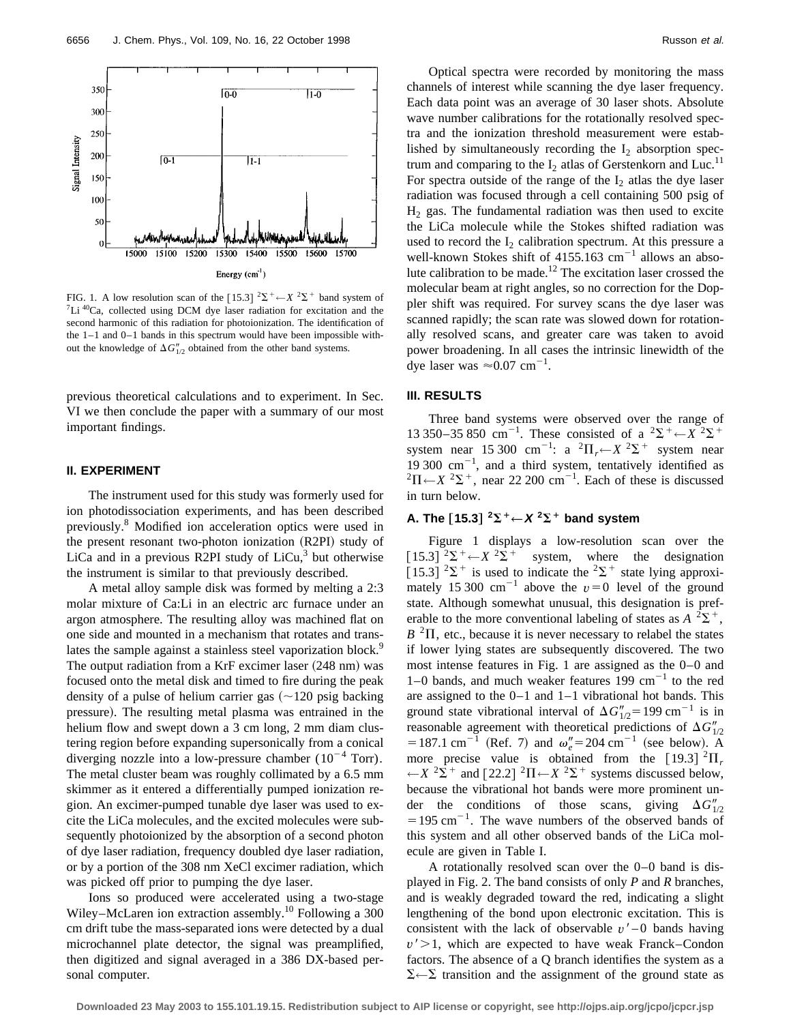

FIG. 1. A low resolution scan of the  $[15.3]$  <sup>2</sup> $\Sigma^+$  –  $X$  <sup>2</sup> $\Sigma^+$  band system of <sup>7</sup>Li <sup>40</sup>Ca, collected using DCM dye laser radiation for excitation and the second harmonic of this radiation for photoionization. The identification of the 1–1 and 0–1 bands in this spectrum would have been impossible without the knowledge of  $\Delta G''_{1/2}$  obtained from the other band systems.

previous theoretical calculations and to experiment. In Sec. VI we then conclude the paper with a summary of our most important findings.

#### **II. EXPERIMENT**

The instrument used for this study was formerly used for ion photodissociation experiments, and has been described previously.8 Modified ion acceleration optics were used in the present resonant two-photon ionization (R2PI) study of LiCa and in a previous R2PI study of  $LiCu<sup>3</sup>$  but otherwise the instrument is similar to that previously described.

A metal alloy sample disk was formed by melting a 2:3 molar mixture of Ca:Li in an electric arc furnace under an argon atmosphere. The resulting alloy was machined flat on one side and mounted in a mechanism that rotates and translates the sample against a stainless steel vaporization block.<sup>9</sup> The output radiation from a KrF excimer laser  $(248 \text{ nm})$  was focused onto the metal disk and timed to fire during the peak density of a pulse of helium carrier gas  $\left(\sim 120 \text{ psig} \text{ backing}\right)$ pressure). The resulting metal plasma was entrained in the helium flow and swept down a 3 cm long, 2 mm diam clustering region before expanding supersonically from a conical diverging nozzle into a low-pressure chamber  $(10^{-4} \text{ Torr})$ . The metal cluster beam was roughly collimated by a 6.5 mm skimmer as it entered a differentially pumped ionization region. An excimer-pumped tunable dye laser was used to excite the LiCa molecules, and the excited molecules were subsequently photoionized by the absorption of a second photon of dye laser radiation, frequency doubled dye laser radiation, or by a portion of the 308 nm XeCl excimer radiation, which was picked off prior to pumping the dye laser.

Ions so produced were accelerated using a two-stage Wiley–McLaren ion extraction assembly.<sup>10</sup> Following a 300 cm drift tube the mass-separated ions were detected by a dual microchannel plate detector, the signal was preamplified, then digitized and signal averaged in a 386 DX-based personal computer.

Optical spectra were recorded by monitoring the mass channels of interest while scanning the dye laser frequency. Each data point was an average of 30 laser shots. Absolute wave number calibrations for the rotationally resolved spectra and the ionization threshold measurement were established by simultaneously recording the  $I_2$  absorption spectrum and comparing to the  $I_2$  atlas of Gerstenkorn and Luc.<sup>11</sup> For spectra outside of the range of the  $I_2$  atlas the dye laser radiation was focused through a cell containing 500 psig of  $H<sub>2</sub>$  gas. The fundamental radiation was then used to excite the LiCa molecule while the Stokes shifted radiation was used to record the  $I_2$  calibration spectrum. At this pressure a well-known Stokes shift of  $4155.163$  cm<sup>-1</sup> allows an absolute calibration to be made.<sup>12</sup> The excitation laser crossed the molecular beam at right angles, so no correction for the Doppler shift was required. For survey scans the dye laser was scanned rapidly; the scan rate was slowed down for rotationally resolved scans, and greater care was taken to avoid power broadening. In all cases the intrinsic linewidth of the dye laser was  $\approx 0.07$  cm<sup>-1</sup>.

#### **III. RESULTS**

Three band systems were observed over the range of 13 350–35 850 cm<sup>-1</sup>. These consisted of a <sup>2</sup> $\Sigma^+ \leftarrow X^2 \Sigma^+$ system near 15 300 cm<sup>-1</sup>: a <sup>2</sup> $\Pi_r$   $\leftarrow$  *X* <sup>2</sup> $\Sigma$ <sup>+</sup> system near 19 300  $\text{cm}^{-1}$ , and a third system, tentatively identified as  $^{2}\Pi$  ←  $X$   $^{2}\Sigma$  <sup>+</sup>, near 22 200 cm<sup>-1</sup>. Each of these is discussed in turn below.

## A. The [15.3]  ${}^2\Sigma$ <sup>+</sup>  $\leftarrow$  **X**  ${}^2\Sigma$ <sup>+</sup> band system

Figure 1 displays a low-resolution scan over the  $[15.3]$   ${}^{2}\Sigma^{+}$   $\leftarrow$  *X*  ${}^{2}\Sigma^{+}$  system, where the designation [15.3]  $2\Sigma^+$  is used to indicate the  $2\Sigma^+$  state lying approximately 15 300 cm<sup>-1</sup> above the  $v=0$  level of the ground state. Although somewhat unusual, this designation is preferable to the more conventional labeling of states as  $A^{-2}\Sigma^{+}$ ,  $B<sup>2</sup>$ II, etc., because it is never necessary to relabel the states if lower lying states are subsequently discovered. The two most intense features in Fig. 1 are assigned as the 0–0 and 1–0 bands, and much weaker features 199  $cm^{-1}$  to the red are assigned to the 0–1 and 1–1 vibrational hot bands. This ground state vibrational interval of  $\Delta G''_{1/2} = 199 \text{ cm}^{-1}$  is in reasonable agreement with theoretical predictions of  $\Delta G''_{1/2}$  $= 187.1$  cm<sup>-1</sup> (Ref. 7) and  $\omega_e'' = 204$  cm<sup>-1</sup> (see below). A more precise value is obtained from the [19.3]  ${}^{2}$  $\Pi$ <sub>r</sub>  $\leftarrow$ *X* <sup>2</sup> $\Sigma$ <sup>+</sup> and [22.2] <sup>2</sup> $\Pi$  ← *X* <sup>2</sup> $\Sigma$ <sup>+</sup> systems discussed below, because the vibrational hot bands were more prominent under the conditions of those scans, giving  $\Delta G''_{1/2}$  $=195$  cm<sup>-1</sup>. The wave numbers of the observed bands of this system and all other observed bands of the LiCa molecule are given in Table I.

A rotationally resolved scan over the 0–0 band is displayed in Fig. 2. The band consists of only *P* and *R* branches, and is weakly degraded toward the red, indicating a slight lengthening of the bond upon electronic excitation. This is consistent with the lack of observable  $v'$  –0 bands having  $v'$  > 1, which are expected to have weak Franck–Condon factors. The absence of a Q branch identifies the system as a  $\Sigma \leftarrow \Sigma$  transition and the assignment of the ground state as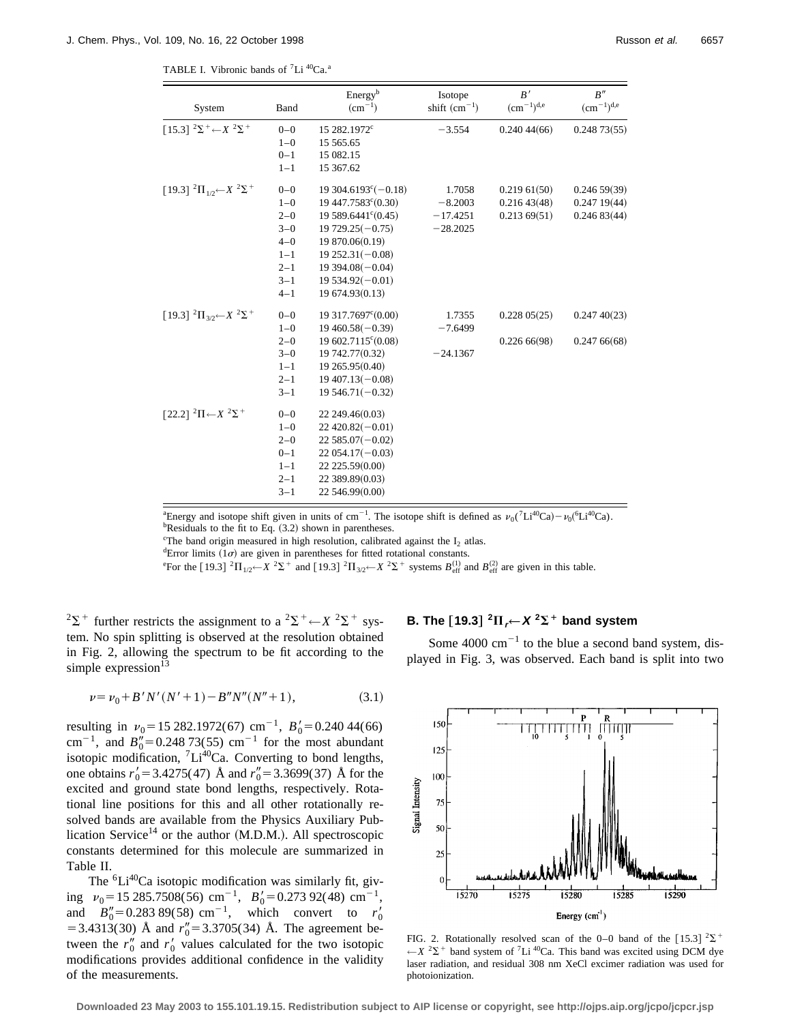TABLE I. Vibronic bands of <sup>7</sup>Li<sup>40</sup>Ca.<sup>a</sup>

| System<br>Band                                                  |         | Energy <sup>b</sup><br>$(cm^{-1})$    | Isotope<br>shift $(cm^{-1})$ | B'<br>$\rm (cm^{-1})^{d,e}$ | B''<br>$(cm^{-1})^{d,e}$ |  |
|-----------------------------------------------------------------|---------|---------------------------------------|------------------------------|-----------------------------|--------------------------|--|
| $[15.3]$ ${}^{2}\Sigma^{+}$ $\leftarrow$ $X$ ${}^{2}\Sigma^{+}$ | $0 - 0$ |                                       |                              |                             |                          |  |
|                                                                 | $1 - 0$ | 15 282.1972 <sup>c</sup><br>15 565.65 | $-3.554$                     | 0.24044(66)                 | 0.24873(55)              |  |
|                                                                 | $0 - 1$ | 15 082.15                             |                              |                             |                          |  |
|                                                                 |         |                                       |                              |                             |                          |  |
|                                                                 | $1 - 1$ | 15 367.62                             |                              |                             |                          |  |
| [19.3] ${}^{2}\Pi_{1/2}$ $\leftarrow$ $X$ ${}^{2}\Sigma^{+}$    | $0 - 0$ | $19304.6193^{\circ}(-0.18)$           | 1.7058                       | 0.21961(50)                 | 0.24659(39)              |  |
|                                                                 | $1 - 0$ | 19 447.7583° (0.30)                   | $-8.2003$                    | 0.21643(48)                 | 0.24719(44)              |  |
|                                                                 | $2 - 0$ | $19589.6441^{\circ}(0.45)$            | $-17.4251$                   | 0.21369(51)                 | 0.24683(44)              |  |
|                                                                 | $3 - 0$ | $19729.25(-0.75)$                     | $-28.2025$                   |                             |                          |  |
|                                                                 | $4 - 0$ | 19 870.06(0.19)                       |                              |                             |                          |  |
|                                                                 | $1 - 1$ | $19252.31(-0.08)$                     |                              |                             |                          |  |
|                                                                 | $2 - 1$ | $19394.08(-0.04)$                     |                              |                             |                          |  |
|                                                                 | $3 - 1$ | $19534.92(-0.01)$                     |                              |                             |                          |  |
|                                                                 | $4 - 1$ | 19 674.93(0.13)                       |                              |                             |                          |  |
| $[19.3]$ ${}^{2}\Pi_{3/2}$ $\leftarrow$ $X$ ${}^{2}\Sigma^{+}$  | $0 - 0$ | 19 317.7697° (0.00)                   | 1.7355                       | 0.22805(25)                 | 0.24740(23)              |  |
|                                                                 | $1 - 0$ | $19460.58(-0.39)$                     | $-7.6499$                    |                             |                          |  |
|                                                                 | $2 - 0$ | 19 602.7115 <sup>c</sup> (0.08)       |                              | 0.22666(98)                 | 0.24766(68)              |  |
|                                                                 | $3 - 0$ | 19 742.77(0.32)                       | $-24.1367$                   |                             |                          |  |
|                                                                 | $1 - 1$ | 19 265.95(0.40)                       |                              |                             |                          |  |
|                                                                 | $2 - 1$ | $19407.13(-0.08)$                     |                              |                             |                          |  |
|                                                                 | $3 - 1$ | $19546.71(-0.32)$                     |                              |                             |                          |  |
| [22.2] <sup>2</sup> Π← $X^2\Sigma$ <sup>+</sup>                 | $0 - 0$ | 22 249.46(0.03)                       |                              |                             |                          |  |
|                                                                 | $1 - 0$ | $22\,420.82(-0.01)$                   |                              |                             |                          |  |
|                                                                 | $2 - 0$ | $22585.07(-0.02)$                     |                              |                             |                          |  |
|                                                                 | $0 - 1$ | $22054.17(-0.03)$                     |                              |                             |                          |  |
|                                                                 | $1 - 1$ | 22 225.59(0.00)                       |                              |                             |                          |  |
|                                                                 | $2 - 1$ | 22 389.89(0.03)                       |                              |                             |                          |  |
|                                                                 | $3 - 1$ | 22 546.99(0.00)                       |                              |                             |                          |  |

<sup>a</sup> Energy and isotope shift given in units of cm<sup>-1</sup>. The isotope shift is defined as  $\nu_0$ <sup>(7</sup>Li<sup>40</sup>Ca) –  $\nu_0$ <sup>(6</sup>Li<sup>40</sup>Ca). <sup>b</sup>Residuals to the fit to Eq.  $(3.2)$  shown in parentheses.

The band origin measured in high resolution, calibrated against the  $I_2$  atlas.

<sup>d</sup>Error limits  $(1\sigma)$  are given in parentheses for fitted rotational constants.

e<sup>e</sup> For the [19.3]  ${}^{2}\Pi_{1/2}$   $\leftarrow$  *X*  ${}^{2}\Sigma^{+}$  and [19.3]  ${}^{2}\Pi_{3/2}$   $\leftarrow$  *X*  ${}^{2}\Sigma^{+}$  systems  $B_{\text{eff}}^{(1)}$  and  $B_{\text{eff}}^{(2)}$  are given in this table.

 $2\Sigma^+$  further restricts the assignment to a  $2\Sigma^+ \leftarrow X^2\Sigma^+$  system. No spin splitting is observed at the resolution obtained in Fig. 2, allowing the spectrum to be fit according to the simple expression $13$ 

$$
\nu = \nu_0 + B'N'(N'+1) - B''N''(N''+1),\tag{3.1}
$$

resulting in  $v_0 = 15282.1972(67)$  cm<sup>-1</sup>,  $B'_0 = 0.24044(66)$ cm<sup>-1</sup>, and  $B_0'' = 0.248 \, 73(55) \, \text{cm}^{-1}$  for the most abundant isotopic modification,  ${}^{7}Li^{40}Ca$ . Converting to bond lengths, one obtains  $r'_0 = 3.4275(47)$  Å and  $r''_0 = 3.3699(37)$  Å for the excited and ground state bond lengths, respectively. Rotational line positions for this and all other rotationally resolved bands are available from the Physics Auxiliary Publication Service<sup>14</sup> or the author  $(M.D.M.)$ . All spectroscopic constants determined for this molecule are summarized in Table II.

The  ${}^{6}Li^{40}Ca$  isotopic modification was similarly fit, giving  $v_0 = 15\ 285.7508(56) \text{ cm}^{-1}$ ,  $B_0' = 0.273\ 92(48) \text{ cm}^{-1}$ , and  $B_0'' = 0.28389(58) \text{ cm}^{-1}$ , which convert to  $r'_0$  $=$  3.4313(30) Å and  $r''_0$  = 3.3705(34) Å. The agreement between the  $r_0''$  and  $r_0'$  values calculated for the two isotopic modifications provides additional confidence in the validity of the measurements.

## **B.** The [19.3]  ${}^{2}\Pi$ <sub>r</sub> $\leftarrow$  X  ${}^{2}\Sigma$ <sup>+</sup> band system

Some  $4000 \text{ cm}^{-1}$  to the blue a second band system, displayed in Fig. 3, was observed. Each band is split into two



FIG. 2. Rotationally resolved scan of the 0–0 band of the [15.3]  $2\Sigma$ <sup>+</sup>  $\leftarrow$ *X* <sup>2</sup> $\Sigma$ <sup>+</sup> band system of <sup>7</sup>Li<sup>40</sup>Ca. This band was excited using DCM dye laser radiation, and residual 308 nm XeCl excimer radiation was used for photoionization.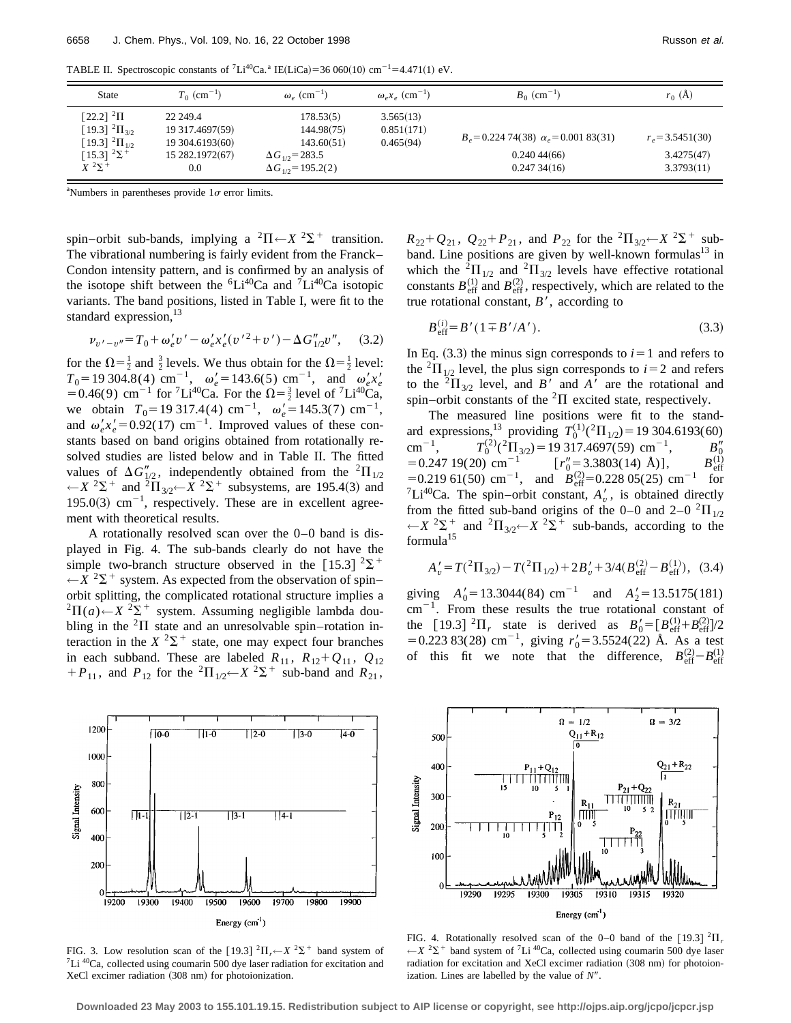TABLE II. Spectroscopic constants of <sup>7</sup>Li<sup>40</sup>Ca.<sup>a</sup> IE(LiCa)=36 060(10) cm<sup>-1</sup>=4.471(1) eV.

| <b>State</b>                                                               | $T_0$ (cm <sup>-1</sup> )                      | $\omega_{\circ}$ (cm <sup>-1</sup> )                   | $\omega_{\rho} x_{\rho}$ (cm <sup>-1</sup> ) | $B_0$ (cm <sup>-1</sup> )                  | $r_0(A)$                 |
|----------------------------------------------------------------------------|------------------------------------------------|--------------------------------------------------------|----------------------------------------------|--------------------------------------------|--------------------------|
| [22.2] $^{2}$ $\Pi$<br>[19.3] $^{2}$ $\Pi_{3/2}$<br>[19.3] $^{2}\Pi_{1/2}$ | 22 249.4<br>19 317.4697(59)<br>19 304.6193(60) | 178.53(5)<br>144.98(75)<br>143.60(51)                  | 3.565(13)<br>0.851(171)<br>0.465(94)         | $B_e = 0.22474(38) \alpha_e = 0.00183(31)$ | $r_e = 3.5451(30)$       |
| [15.3] $2\Sigma^+$<br>$X^2\Sigma^+$                                        | 15 282.1972(67)<br>0.0                         | $\Delta G_{10} = 283.5$<br>$\Delta G_{1/2}$ = 195.2(2) |                                              | 0.24044(66)<br>0.24734(16)                 | 3.4275(47)<br>3.3793(11) |

<sup>a</sup>Numbers in parentheses provide  $1\sigma$  error limits.

spin–orbit sub-bands, implying a  ${}^{2}\Pi \leftarrow X {}^{2}\Sigma^{+}$  transition. The vibrational numbering is fairly evident from the Franck– Condon intensity pattern, and is confirmed by an analysis of the isotope shift between the  ${}^{6}Li^{40}Ca$  and  ${}^{7}Li^{40}Ca$  isotopic variants. The band positions, listed in Table I, were fit to the standard expression, $^{13}$ 

$$
\nu_{v'-v''} = T_0 + \omega_e' v' - \omega_e' x_e' (v'^2 + v') - \Delta G''_{1/2} v'', \quad (3.2)
$$

for the  $\Omega = \frac{1}{2}$  and  $\frac{3}{2}$  levels. We thus obtain for the  $\Omega = \frac{1}{2}$  level:  $T_0$ = 19 304.8(4) cm<sup>-1</sup>,  $\omega'_e$ = 143.6(5) cm<sup>-1</sup>, and  $\omega'_e x'_e$ = 0.46(9) cm<sup>-1</sup> for <sup>7</sup>Li<sup>40</sup>Ca. For the  $\Omega = \frac{3}{2}$  level of <sup>7</sup>Li<sup>40</sup>Ca, we obtain  $T_0 = 19317.4(4)$  cm<sup>-1</sup>,  $\omega'_e = 145.3(7)$  cm<sup>-1</sup>, and  $\omega_e' x_e' = 0.92(17)$  cm<sup>-1</sup>. Improved values of these constants based on band origins obtained from rotationally resolved studies are listed below and in Table II. The fitted values of  $\Delta G''_{1/2}$ , independently obtained from the <sup>2</sup> $\Pi_{1/2}$  $\leftarrow$ *X* <sup>2</sup>∑<sup>+</sup> and <sup>2</sup> $\prod_{3/2}$  ← *X* <sup>2</sup>∑<sup>+</sup> subsystems, are 195.4(3) and 195.0(3)  $cm^{-1}$ , respectively. These are in excellent agreement with theoretical results.

A rotationally resolved scan over the 0–0 band is displayed in Fig. 4. The sub-bands clearly do not have the simple two-branch structure observed in the [15.3]  $2\Sigma^+$  $\leftarrow$ *X*  ${}^{2}\Sigma^{+}$  system. As expected from the observation of spin– orbit splitting, the complicated rotational structure implies a <sup>2</sup> $\Pi(a)$  ←  $X$  <sup>2</sup> $\Sigma$ <sup>+</sup> system. Assuming negligible lambda doubling in the  ${}^{2}$  $\Pi$  state and an unresolvable spin–rotation interaction in the  $X^2\Sigma^+$  state, one may expect four branches in each subband. These are labeled  $R_{11}$ ,  $R_{12} + Q_{11}$ ,  $Q_{12}$  $+P_{11}$ , and  $P_{12}$  for the <sup>2</sup> $\Pi_{1/2}$ ← $X$ <sup>2</sup> $\Sigma$ <sup>+</sup> sub-band and  $R_{21}$ ,



FIG. 3. Low resolution scan of the  $[19.3]$  <sup>2</sup> $\Pi$ <sub>*r</sub>* $\leftarrow$ *X* <sup>2</sup> $\Sigma$ <sup>+</sup> band system of <sup>7</sup>Li <sup>40</sup>Ca, collected using coumarin 500 dye laser radiation for excitation and</sub> XeCl excimer radiation (308 nm) for photoionization.

 $R_{22} + Q_{21}$ ,  $Q_{22} + P_{21}$ , and  $P_{22}$  for the <sup>2</sup> $\Pi_{3/2} \leftarrow X$ <sup>2</sup> $\Sigma$ <sup>+</sup> subband. Line positions are given by well-known formulas $^{13}$  in which the <sup>2</sup> $\Pi_{1/2}$  and <sup>2</sup> $\Pi_{3/2}$  levels have effective rotational constants  $B_{\text{eff}}^{(1)}$  and  $B_{\text{eff}}^{(2)}$ , respectively, which are related to the true rotational constant,  $B'$ , according to

$$
B_{\text{eff}}^{(i)} = B'(1 \pm B'/A'). \tag{3.3}
$$

In Eq.  $(3.3)$  the minus sign corresponds to  $i=1$  and refers to the <sup>2</sup> $\Pi_{1/2}$  level, the plus sign corresponds to *i*=2 and refers to the  ${}^{2}\Pi_{3/2}$  level, and *B'* and *A'* are the rotational and spin–orbit constants of the  ${}^{2}\Pi$  excited state, respectively.

The measured line positions were fit to the standard expressions,<sup>13</sup> providing  $T_0^{(1)}({}^2\Pi_{1/2})=19\,304.6193(60)$  $cm^{-1}$ ,  $T_0^{(2)}$ ( $^2\Pi_{3/2}$ ) = 19 317.4697(59) cm<sup>-1</sup>,  $B_0''$  $= 0.247 \, 19(20) \, \text{ cm}^{-1} \qquad \qquad [r''_0 = 3.3803(14) \, \text{\AA})], \qquad B_{\text{eff}}^{(1)}$  $= 0.219$  61(50) cm<sup>-1</sup>, and *B*<sup>(2)</sup><sub>eff</sub> = 0.228 05(25) cm<sup>-1</sup> for  ${}^{7}Li^{40}Ca$ . The spin–orbit constant,  $A'_{v}$ , is obtained directly from the fitted sub-band origins of the 0–0 and 2–0  ${}^{2}\Pi_{1/2}$  $\leftarrow$ *X* <sup>2</sup> $\sum$ <sup>+</sup> and <sup>2</sup> $\Pi$ <sub>3/2</sub> $\leftarrow$ *X* <sup>2</sup> $\sum$ <sup>+</sup> sub-bands, according to the formula<sup>15</sup>

$$
A'_v = T({}^2\Pi_{3/2}) - T({}^2\Pi_{1/2}) + 2B'_v + 3/4(B_{\text{eff}}^{(2)} - B_{\text{eff}}^{(1)}), (3.4)
$$

giving  $A'_0 = 13.3044(84) \text{ cm}^{-1}$  and  $A'_2 = 13.5175(181)$  $cm^{-1}$ . From these results the true rotational constant of the [19.3] <sup>2</sup> $\Pi_r$  state is derived as  $B_0' = [B_{\text{eff}}^{(1)} + B_{\text{eff}}^{(2)}]/2$  $= 0.223 83(28)$  cm<sup>-1</sup>, giving  $r'_0 = 3.5524(22)$  Å. As a test of this fit we note that the difference,  $B_{\text{eff}}^{(2)} - B_{\text{eff}}^{(1)}$ 



FIG. 4. Rotationally resolved scan of the  $0-0$  band of the  $[19.3]$ <sup>2</sup> $\Pi$ <sub>r</sub>  $\leftarrow$ *X* <sup>2</sup> $\Sigma$ <sup>+</sup> band system of <sup>7</sup>Li<sup>40</sup>Ca, collected using coumarin 500 dye laser radiation for excitation and XeCl excimer radiation (308 nm) for photoionization. Lines are labelled by the value of  $N''$ .

**Downloaded 23 May 2003 to 155.101.19.15. Redistribution subject to AIP license or copyright, see http://ojps.aip.org/jcpo/jcpcr.jsp**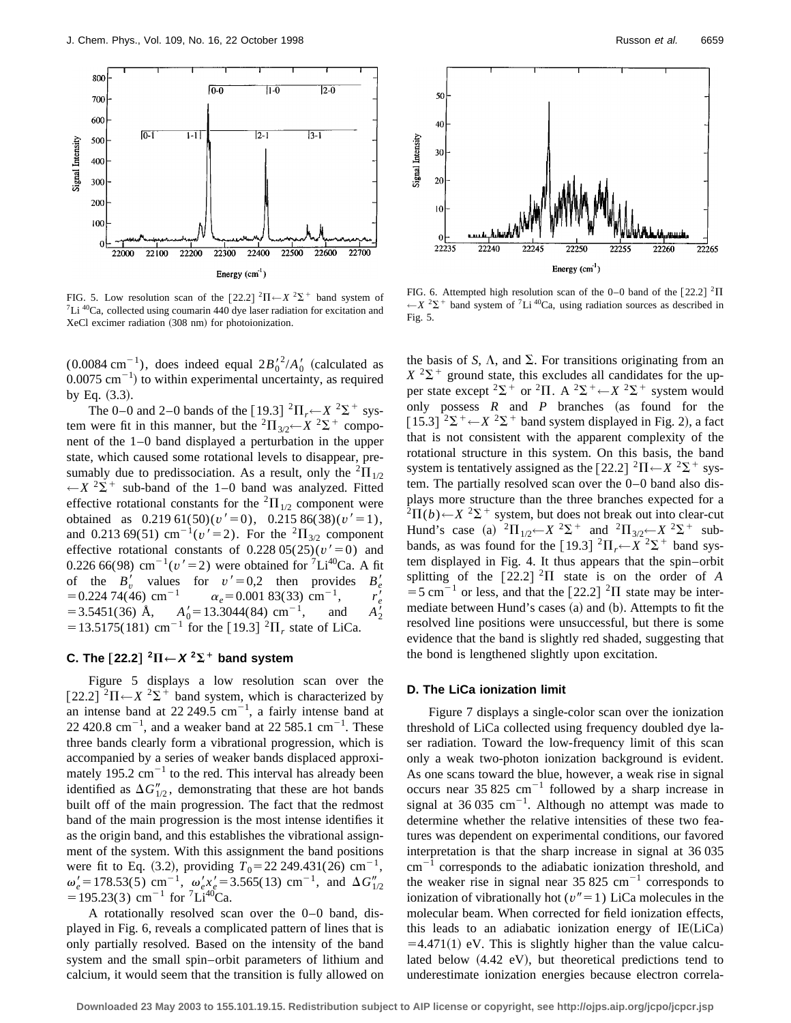

FIG. 5. Low resolution scan of the  $[22.2]$  <sup>2</sup> $\Pi \leftarrow X$  <sup>2</sup> $\Sigma$ <sup>+</sup> band system of <sup>7</sup>Li <sup>40</sup>Ca, collected using coumarin 440 dye laser radiation for excitation and XeCl excimer radiation (308 nm) for photoionization.

 $(0.0084 \text{ cm}^{-1})$ , does indeed equal  $2B_0^2/A_0^{\prime}$  (calculated as  $0.0075$  cm<sup>-1</sup>) to within experimental uncertainty, as required by Eq.  $(3.3)$ .

The 0–0 and 2–0 bands of the [19.3]  ${}^{2}\Pi_{r} \leftarrow X {}^{2}\Sigma^{+}$  system were fit in this manner, but the  ${}^{2}\Pi_{3/2}$   $\leftarrow$  *X*  ${}^{2}\Sigma^{+}$  component of the 1–0 band displayed a perturbation in the upper state, which caused some rotational levels to disappear, presumably due to predissociation. As a result, only the  ${}^{2}$  $\Pi_{1/2}$  $\leftarrow$ *X* <sup>2</sup> $\Sigma$ <sup>+</sup> sub-band of the 1–0 band was analyzed. Fitted effective rotational constants for the  ${}^{2}$  $\Pi_{1/2}$  component were obtained as  $0.219\ 61(50)(v' = 0)$ ,  $0.215\ 86(38)(v' = 1)$ , and 0.213 69(51) cm<sup>-1</sup>( $v'$ =2). For the <sup>2</sup> $\Pi_{3/2}$  component effective rotational constants of  $0.22805(25)(v'=0)$  and 0.226 66(98) cm<sup>-1</sup>( $v'$ =2) were obtained for <sup>7</sup>Li<sup>40</sup>Ca. A fit of the  $B'_v$  values for  $v' = 0.2$  then provides  $B'_e$  $= 0.224$  74(46) cm<sup>-1</sup>  $\alpha_e = 0.001$  83(33) cm<sup>-1</sup>,  $\frac{1}{e}$  $=$  3.5451(36) Å,  $A'_0 = 13.3044(84)$  cm<sup>-1</sup>, and  $\frac{1}{2}$  $= 13.5175(181)$  cm<sup>-1</sup> for the [19.3]<sup>2</sup>II<sub>r</sub> state of LiCa.

## **C.** The  $\lceil 22.2 \rceil^2 \Pi \leftarrow X^2 \Sigma^+$  band system

Figure 5 displays a low resolution scan over the  $\left[22.2\right]$  <sup>2</sup> $\Pi$   $\leftarrow$  *X* <sup>2</sup> $\Sigma$ <sup>+</sup> band system, which is characterized by an intense band at  $22,249.5$  cm<sup>-1</sup>, a fairly intense band at 22 420.8 cm<sup>-1</sup>, and a weaker band at 22 585.1 cm<sup>-1</sup>. These three bands clearly form a vibrational progression, which is accompanied by a series of weaker bands displaced approximately 195.2  $\text{cm}^{-1}$  to the red. This interval has already been identified as  $\Delta G''_{1/2}$ , demonstrating that these are hot bands built off of the main progression. The fact that the redmost band of the main progression is the most intense identifies it as the origin band, and this establishes the vibrational assignment of the system. With this assignment the band positions were fit to Eq. (3.2), providing  $T_0 = 22\,249.431(26) \text{ cm}^{-1}$ ,  $\omega'_e = 178.53(5)$  cm<sup>-1</sup>,  $\omega'_e x'_e = 3.565(13)$  cm<sup>-1</sup>, and  $\Delta G''_{1/2}$  $=195.23(3)$  cm<sup>-1</sup> for <sup>7</sup>Li<sup>40</sup>Ca.

A rotationally resolved scan over the 0–0 band, displayed in Fig. 6, reveals a complicated pattern of lines that is only partially resolved. Based on the intensity of the band system and the small spin–orbit parameters of lithium and calcium, it would seem that the transition is fully allowed on



FIG. 6. Attempted high resolution scan of the 0–0 band of the  $[22.2]$  <sup>2</sup> $\Pi$  $\leftarrow$ *X* <sup>2</sup> $\Sigma$ <sup>+</sup> band system of <sup>7</sup>Li<sup>40</sup>Ca, using radiation sources as described in Fig. 5.

the basis of *S*,  $\Lambda$ , and  $\Sigma$ . For transitions originating from an  $X^{2}\Sigma^{+}$  ground state, this excludes all candidates for the upper state except <sup>2</sup> $\Sigma$ <sup>+</sup> or <sup>2</sup> $\Pi$ . A <sup>2</sup> $\Sigma$ <sup>+</sup>  $\leftarrow$  *X* <sup>2</sup> $\Sigma$ <sup>+</sup> system would only possess  $R$  and  $P$  branches (as found for the  $[15.3]$   ${}^{2}\Sigma^{+}$   $\leftarrow$   $X$   ${}^{2}\Sigma^{+}$  band system displayed in Fig. 2), a fact that is not consistent with the apparent complexity of the rotational structure in this system. On this basis, the band system is tentatively assigned as the  $[22.2]$  <sup>2</sup> $\Pi \leftarrow X$  <sup>2</sup> $\Sigma$ <sup>+</sup> system. The partially resolved scan over the 0–0 band also displays more structure than the three branches expected for a  $^{2}\Pi(b)$  ←  $^{2}\Sigma^{+}$  system, but does not break out into clear-cut Hund's case (a)  ${}^{2}\Pi_{1/2} \leftarrow X \ {}^{2}\Sigma^{+}$  and  ${}^{2}\Pi_{3/2} \leftarrow X \ {}^{2}\Sigma^{+}$  subbands, as was found for the [19.3]  ${}^{2}\Pi_{r} \leftarrow X {}^{2}\Sigma^{+}$  band system displayed in Fig. 4. It thus appears that the spin–orbit splitting of the  $[22.2]$  <sup>2</sup>II state is on the order of *A*  $=$  5 cm<sup>-1</sup> or less, and that the [22.2] <sup>2</sup>II state may be intermediate between Hund's cases  $(a)$  and  $(b)$ . Attempts to fit the resolved line positions were unsuccessful, but there is some evidence that the band is slightly red shaded, suggesting that the bond is lengthened slightly upon excitation.

## **D. The LiCa ionization limit**

Figure 7 displays a single-color scan over the ionization threshold of LiCa collected using frequency doubled dye laser radiation. Toward the low-frequency limit of this scan only a weak two-photon ionization background is evident. As one scans toward the blue, however, a weak rise in signal occurs near 35 825 cm<sup>-1</sup> followed by a sharp increase in signal at 36 035 cm<sup>-1</sup>. Although no attempt was made to determine whether the relative intensities of these two features was dependent on experimental conditions, our favored interpretation is that the sharp increase in signal at 36 035  $\text{cm}^{-1}$  corresponds to the adiabatic ionization threshold, and the weaker rise in signal near 35 825 cm<sup>-1</sup> corresponds to ionization of vibrationally hot  $(v''=1)$  LiCa molecules in the molecular beam. When corrected for field ionization effects, this leads to an adiabatic ionization energy of  $IE(LiCa)$  $=4.471(1)$  eV. This is slightly higher than the value calculated below  $(4.42 \text{ eV})$ , but theoretical predictions tend to underestimate ionization energies because electron correla-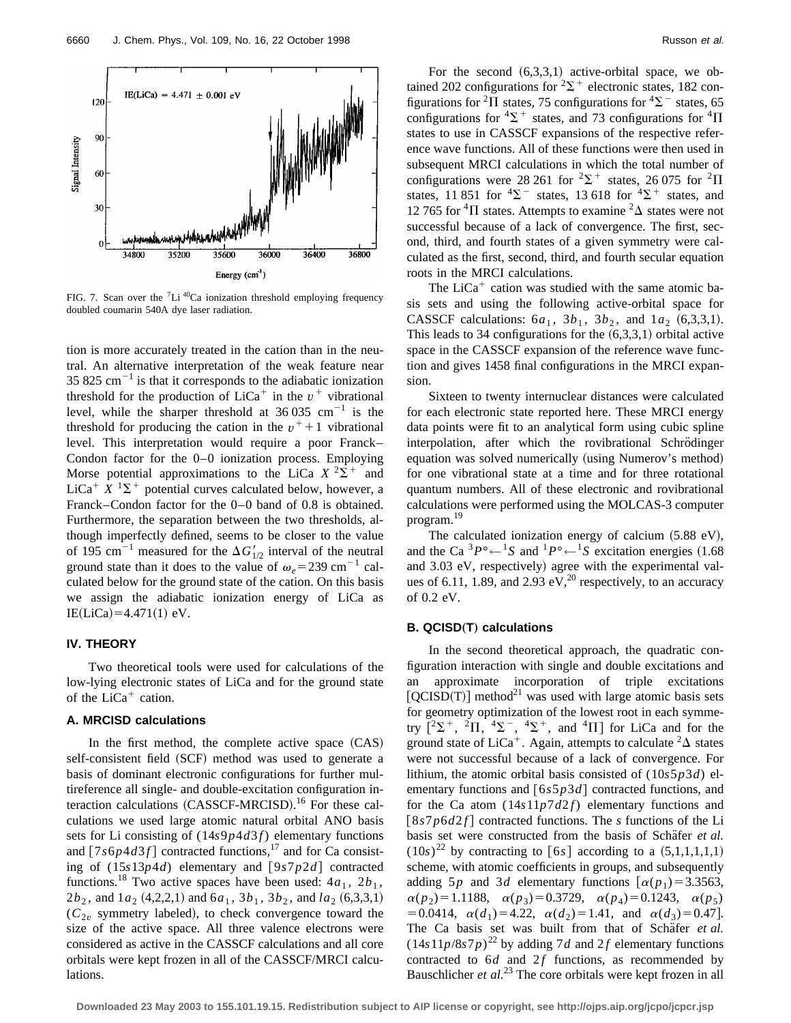

FIG. 7. Scan over the <sup>7</sup>Li<sup>40</sup>Ca ionization threshold employing frequency doubled coumarin 540A dye laser radiation.

tion is more accurately treated in the cation than in the neutral. An alternative interpretation of the weak feature near 35 825 cm<sup> $-1$ </sup> is that it corresponds to the adiabatic ionization threshold for the production of  $LiCa<sup>+</sup>$  in the  $v<sup>+</sup>$  vibrational level, while the sharper threshold at  $36,035$  cm<sup>-1</sup> is the threshold for producing the cation in the  $v^+$ +1 vibrational level. This interpretation would require a poor Franck– Condon factor for the 0–0 ionization process. Employing Morse potential approximations to the LiCa  $X^2\Sigma^+$  and LiCa<sup>+</sup>  $X$ <sup>1</sup> $\Sigma$ <sup>+</sup> potential curves calculated below, however, a Franck–Condon factor for the 0–0 band of 0.8 is obtained. Furthermore, the separation between the two thresholds, although imperfectly defined, seems to be closer to the value of 195 cm<sup>-1</sup> measured for the  $\Delta G'_{1/2}$  interval of the neutral ground state than it does to the value of  $\omega_e = 239 \text{ cm}^{-1}$  calculated below for the ground state of the cation. On this basis we assign the adiabatic ionization energy of LiCa as  $IE(LiCa) = 4.471(1) eV.$ 

#### **IV. THEORY**

Two theoretical tools were used for calculations of the low-lying electronic states of LiCa and for the ground state of the  $LiCa<sup>+</sup>$  cation.

#### **A. MRCISD calculations**

In the first method, the complete active space  $(CAS)$ self-consistent field (SCF) method was used to generate a basis of dominant electronic configurations for further multireference all single- and double-excitation configuration interaction calculations (CASSCF-MRCISD).<sup>16</sup> For these calculations we used large atomic natural orbital ANO basis sets for Li consisting of (14*s*9*p*4*d*3 *f*) elementary functions and  $\left[7s6p4d3f\right]$  contracted functions,<sup>17</sup> and for Ca consisting of  $(15s13p4d)$  elementary and  $[9s7p2d]$  contracted functions.<sup>18</sup> Two active spaces have been used:  $4a_1$ ,  $2b_1$ ,  $2b_2$ , and  $1a_2$  (4,2,2,1) and  $6a_1$ ,  $3b_1$ ,  $3b_2$ , and  $la_2$  (6,3,3,1)  $(C_{2v}$  symmetry labeled), to check convergence toward the size of the active space. All three valence electrons were considered as active in the CASSCF calculations and all core orbitals were kept frozen in all of the CASSCF/MRCI calculations.

For the second  $(6,3,3,1)$  active-orbital space, we obtained 202 configurations for  ${}^{2}\Sigma^{+}$  electronic states, 182 configurations for <sup>2</sup> $\Pi$  states, 75 configurations for <sup>4</sup> $\Sigma$ <sup>-</sup> states, 65 configurations for  ${}^{4}\Sigma^{+}$  states, and 73 configurations for  ${}^{4}\Pi$ states to use in CASSCF expansions of the respective reference wave functions. All of these functions were then used in subsequent MRCI calculations in which the total number of configurations were 28 261 for  ${}^{2}\Sigma^{+}$  states, 26 075 for  ${}^{2}\Pi$ states, 11 851 for  ${}^{4}\Sigma^{-}$  states, 13 618 for  ${}^{4}\Sigma^{+}$  states, and 12 765 for <sup>4</sup> $\Pi$  states. Attempts to examine <sup>2</sup> $\Delta$  states were not successful because of a lack of convergence. The first, second, third, and fourth states of a given symmetry were calculated as the first, second, third, and fourth secular equation roots in the MRCI calculations.

The  $LiCa<sup>+</sup>$  cation was studied with the same atomic basis sets and using the following active-orbital space for CASSCF calculations:  $6a_1$ ,  $3b_1$ ,  $3b_2$ , and  $1a_2$   $(6,3,3,1)$ . This leads to 34 configurations for the  $(6,3,3,1)$  orbital active space in the CASSCF expansion of the reference wave function and gives 1458 final configurations in the MRCI expansion.

Sixteen to twenty internuclear distances were calculated for each electronic state reported here. These MRCI energy data points were fit to an analytical form using cubic spline interpolation, after which the rovibrational Schrödinger equation was solved numerically (using Numerov's method) for one vibrational state at a time and for three rotational quantum numbers. All of these electronic and rovibrational calculations were performed using the MOLCAS-3 computer program.<sup>19</sup>

The calculated ionization energy of calcium  $(5.88 \text{ eV})$ , and the Ca  ${}^{3}P^{\circ} \leftarrow {}^{1}S$  and  ${}^{1}P^{\circ} \leftarrow {}^{1}S$  excitation energies (1.68) and 3.03 eV, respectively) agree with the experimental values of 6.11, 1.89, and 2.93 eV,<sup>20</sup> respectively, to an accuracy of 0.2 eV.

### **B. QCISD(T) calculations**

In the second theoretical approach, the quadratic configuration interaction with single and double excitations and approximate incorporation of triple excitations  $[QCISD(T)]$  method<sup>21</sup> was used with large atomic basis sets for geometry optimization of the lowest root in each symmetry  $[^{2}\Sigma^{+}$ ,  $^{2}\Pi$ ,  $^{4}\Sigma^{-}$ ,  $^{4}\Sigma^{+}$ , and  $^{4}\Pi$ ] for LiCa and for the ground state of LiCa<sup>+</sup>. Again, attempts to calculate  ${}^{2}\Delta$  states were not successful because of a lack of convergence. For lithium, the atomic orbital basis consisted of (10*s*5*p*3*d*) elementary functions and  $[6s5p3d]$  contracted functions, and for the Ca atom (14*s*11*p*7*d*2 *f*) elementary functions and  $[8s7p6d2f]$  contracted functions. The *s* functions of the Li basis set were constructed from the basis of Schafer et al.  $(10s)^{22}$  by contracting to [6*s*] according to a  $(5,1,1,1,1,1)$ scheme, with atomic coefficients in groups, and subsequently adding 5*p* and 3*d* elementary functions  $\alpha(p_1) = 3.3563$ ,  $\alpha(p_2) = 1.1188$ ,  $\alpha(p_3) = 0.3729$ ,  $\alpha(p_4) = 0.1243$ ,  $\alpha(p_5)$  $=0.0414$ ,  $\alpha(d_1)=4.22$ ,  $\alpha(d_2)=1.41$ , and  $\alpha(d_3)=0.47$ . The Ca basis set was built from that of Schafer et al.  $(14s11p/8s7p)^{22}$  by adding 7*d* and 2*f* elementary functions contracted to  $6d$  and  $2f$  functions, as recommended by Bauschlicher *et al.*<sup>23</sup> The core orbitals were kept frozen in all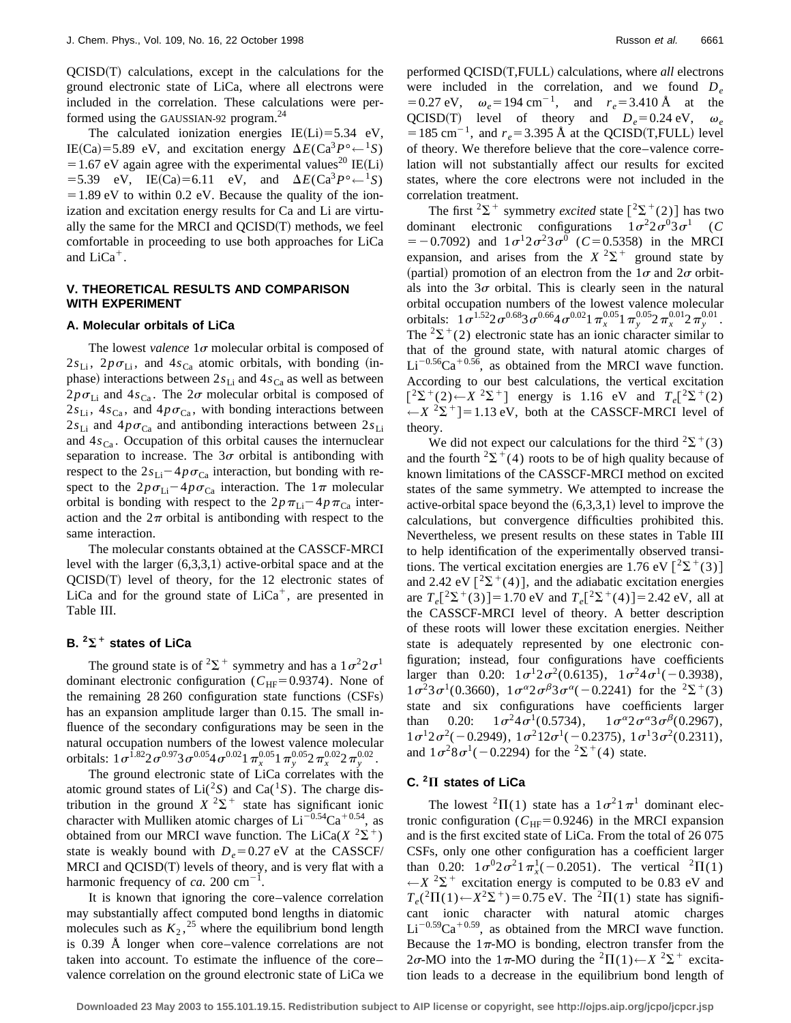$OCISD(T)$  calculations, except in the calculations for the ground electronic state of LiCa, where all electrons were included in the correlation. These calculations were performed using the GAUSSIAN-92 program.<sup>24</sup>

The calculated ionization energies IE(Li)=5.34 eV, IE(Ca)=5.89 eV, and excitation energy  $\Delta E$ (Ca<sup>3</sup> $P$ °<sup> $\leftarrow$ 1</sup>*S*) = 1.67 eV again agree with the experimental values<sup>20</sup> IE(Li)  $=$  5.39 eV, IE(Ca)=6.11 eV, and  $\Delta E$ (Ca<sup>3</sup> $P$ °<sup> $\leftarrow$ 1</sup>*S*)  $=1.89$  eV to within 0.2 eV. Because the quality of the ionization and excitation energy results for Ca and Li are virtually the same for the MRCI and  $QCISD(T)$  methods, we feel comfortable in proceeding to use both approaches for LiCa and  $LiCa<sup>+</sup>$ .

#### **V. THEORETICAL RESULTS AND COMPARISON WITH EXPERIMENT**

#### **A. Molecular orbitals of LiCa**

The lowest *valence*  $1\sigma$  molecular orbital is composed of  $2s_{Li}$ ,  $2p\sigma_{Li}$ , and  $4s_{Ca}$  atomic orbitals, with bonding (inphase) interactions between  $2s<sub>Li</sub>$  and  $4s<sub>Ca</sub>$  as well as between  $2p\sigma_{Li}$  and  $4s_{Ca}$ . The  $2\sigma$  molecular orbital is composed of  $2s_{\text{Li}}$ ,  $4s_{\text{Ca}}$ , and  $4p\sigma_{\text{Ca}}$ , with bonding interactions between  $2s_{\text{Li}}$  and  $4p\sigma_{\text{Ca}}$  and antibonding interactions between  $2s_{\text{Li}}$ and  $4s_{Ca}$ . Occupation of this orbital causes the internuclear separation to increase. The  $3\sigma$  orbital is antibonding with respect to the  $2s_{Li} - 4p\sigma_{Ca}$  interaction, but bonding with respect to the  $2p\sigma_{Li} - 4p\sigma_{Ca}$  interaction. The  $1\pi$  molecular orbital is bonding with respect to the  $2p\pi_{\text{Li}}-4p\pi_{\text{Ca}}$  interaction and the  $2\pi$  orbital is antibonding with respect to the same interaction.

The molecular constants obtained at the CASSCF-MRCI level with the larger  $(6,3,3,1)$  active-orbital space and at the  $QCISD(T)$  level of theory, for the 12 electronic states of LiCa and for the ground state of  $LiCa<sup>+</sup>$ , are presented in Table III.

## **B.**  ${}^{2}\Sigma^{+}$  states of LiCa

The ground state is of  $2\sum^{+}$  symmetry and has a  $1\sigma^2 2\sigma^1$ dominant electronic configuration ( $C_{HF}$ =0.9374). None of the remaining  $28\,260$  configuration state functions  $(CSFs)$ has an expansion amplitude larger than 0.15. The small influence of the secondary configurations may be seen in the natural occupation numbers of the lowest valence molecular orbitals:  $1\sigma^{1.82}2\sigma^{0.97}3\sigma^{0.05}4\sigma^{0.02}1\,\pi_x^{0.05}1\,\pi_y^{0.05}2\,\pi_x^{0.02}2\,\pi_y^{0.02}$ .

The ground electronic state of LiCa correlates with the atomic ground states of  $Li(^{2}S)$  and  $Ca(^{1}S)$ . The charge distribution in the ground  $X^2\Sigma^+$  state has significant ionic character with Mulliken atomic charges of  $Li^{-0.54}Ca^{+0.54}$ , as obtained from our MRCI wave function. The LiCa( $X^2\Sigma^+$ ) state is weakly bound with  $D_e$ =0.27 eV at the CASSCF/ MRCI and  $QCISD(T)$  levels of theory, and is very flat with a harmonic frequency of  $ca$ . 200 cm<sup>-1</sup>.

It is known that ignoring the core–valence correlation may substantially affect computed bond lengths in diatomic molecules such as  $K_2$ ,<sup>25</sup> where the equilibrium bond length is 0.39 Å longer when core–valence correlations are not taken into account. To estimate the influence of the core– valence correlation on the ground electronic state of LiCa we performed OCISD(T,FULL) calculations, where *all* electrons were included in the correlation, and we found *D<sub>e</sub>*  $= 0.27$  eV,  $\omega_e = 194$  cm<sup>-1</sup>, and  $r_e = 3.410$  Å at the QCISD(T) level of theory and  $D_e=0.24 \text{ eV}$ ,  $\omega_e$ =185 cm<sup>-1</sup>, and  $r_e$ =3.395 Å at the QCISD(T,FULL) level of theory. We therefore believe that the core–valence correlation will not substantially affect our results for excited states, where the core electrons were not included in the correlation treatment.

The first  ${}^{2}\Sigma^{+}$  symmetry *excited* state  $\lceil {}^{2}\Sigma^{+}(2) \rceil$  has two dominant electronic configurations  $1\sigma^2 2\sigma^0 3\sigma^1$  (*C*  $=$  -0.7092) and  $1\sigma^1 2\sigma^2 3\sigma^0$  (*C*=0.5358) in the MRCI expansion, and arises from the  $X^2\Sigma^+$  ground state by (partial) promotion of an electron from the  $1\sigma$  and  $2\sigma$  orbitals into the  $3\sigma$  orbital. This is clearly seen in the natural orbital occupation numbers of the lowest valence molecular orbitals:  $1\sigma^{1.52} 2\sigma^{0.68} 3\sigma^{0.66} 4\sigma^{0.02} 1\pi_x^{0.05} 1\pi_y^{0.05} 2\pi_x^{0.01} 2\pi_y^{0.01}$ . The <sup>2</sup> $\Sigma$ <sup>+</sup>(2) electronic state has an ionic character similar to that of the ground state, with natural atomic charges of  $Li^{-0.56}Ca^{+0.56}$ , as obtained from the MRCI wave function. According to our best calculations, the vertical excitation  $[{}^{2}\Sigma^{+}(2) \leftarrow X {}^{2}\Sigma^{+}]$  energy is 1.16 eV and  $T_{e}[^{2}\Sigma^{+}(2)$  $\leftarrow$ *X* <sup>2</sup> $\Sigma$ <sup>+</sup>]=1.13 eV, both at the CASSCF-MRCI level of theory.

We did not expect our calculations for the third  ${}^{2}\Sigma^{+}(3)$ and the fourth  ${}^{2}\Sigma^{+}(4)$  roots to be of high quality because of known limitations of the CASSCF-MRCI method on excited states of the same symmetry. We attempted to increase the active-orbital space beyond the  $(6,3,3,1)$  level to improve the calculations, but convergence difficulties prohibited this. Nevertheless, we present results on these states in Table III to help identification of the experimentally observed transitions. The vertical excitation energies are 1.76 eV  $\lceil 2\Sigma^+(3) \rceil$ and 2.42 eV  $\lceil 2\sum^{+}(4) \rceil$ , and the adiabatic excitation energies are  $T_e[^2\Sigma^+(3)]=1.70$  eV and  $T_e[^2\Sigma^+(4)]=2.42$  eV, all at the CASSCF-MRCI level of theory. A better description of these roots will lower these excitation energies. Neither state is adequately represented by one electronic configuration; instead, four configurations have coefficients larger than 0.20:  $1\sigma^1 2\sigma^2(0.6135)$ ,  $1\sigma^2 4\sigma^1(-0.3938)$ ,  $1\sigma^2 3\sigma^1(0.3660)$ ,  $1\sigma^{\alpha} 2\sigma^{\beta} 3\sigma^{\alpha}(-0.2241)$  for the  ${}^2\Sigma^+(3)$ state and six configurations have coefficients larger than 0.20:  $1\sigma^2 4\sigma^1(0.5734)$ ,  $1\sigma^{\alpha} 2\sigma^{\alpha} 3\sigma^{\beta}(0.2967)$ ,  $1\sigma^12\sigma^2(-0.2949), 1\sigma^212\sigma^1(-0.2375), 1\sigma^13\sigma^2(0.2311),$ and  $1\sigma^2 8\sigma^1(-0.2294)$  for the  ${}^2\Sigma^+(4)$  state.

#### **C. <sup>2</sup>**P **states of LiCa**

The lowest  ${}^{2}\Pi(1)$  state has a  $1\sigma^{2}1\pi^{1}$  dominant electronic configuration ( $C_{HF}$ =0.9246) in the MRCI expansion and is the first excited state of LiCa. From the total of 26 075 CSFs, only one other configuration has a coefficient larger than 0.20:  $1\sigma^0 2\sigma^2 1\pi_x^1(-0.2051)$ . The vertical <sup>2</sup> $\Pi(1)$  $\leftarrow$ *X* <sup>2</sup> $\Sigma$ <sup>+</sup> excitation energy is computed to be 0.83 eV and  $T_e^2(T(1)) \leftarrow X^2\Sigma^+$  = 0.75 eV. The <sup>2</sup> $T(1)$  state has significant ionic character with natural atomic charges  $Li^{-0.59}Ca^{+0.59}$ , as obtained from the MRCI wave function. Because the  $1\pi$ -MO is bonding, electron transfer from the 2 $\sigma$ -MO into the 1 $\pi$ -MO during the <sup>2</sup> $\Pi(1) \leftarrow X$ <sup>2</sup> $\Sigma$ <sup>+</sup> excitation leads to a decrease in the equilibrium bond length of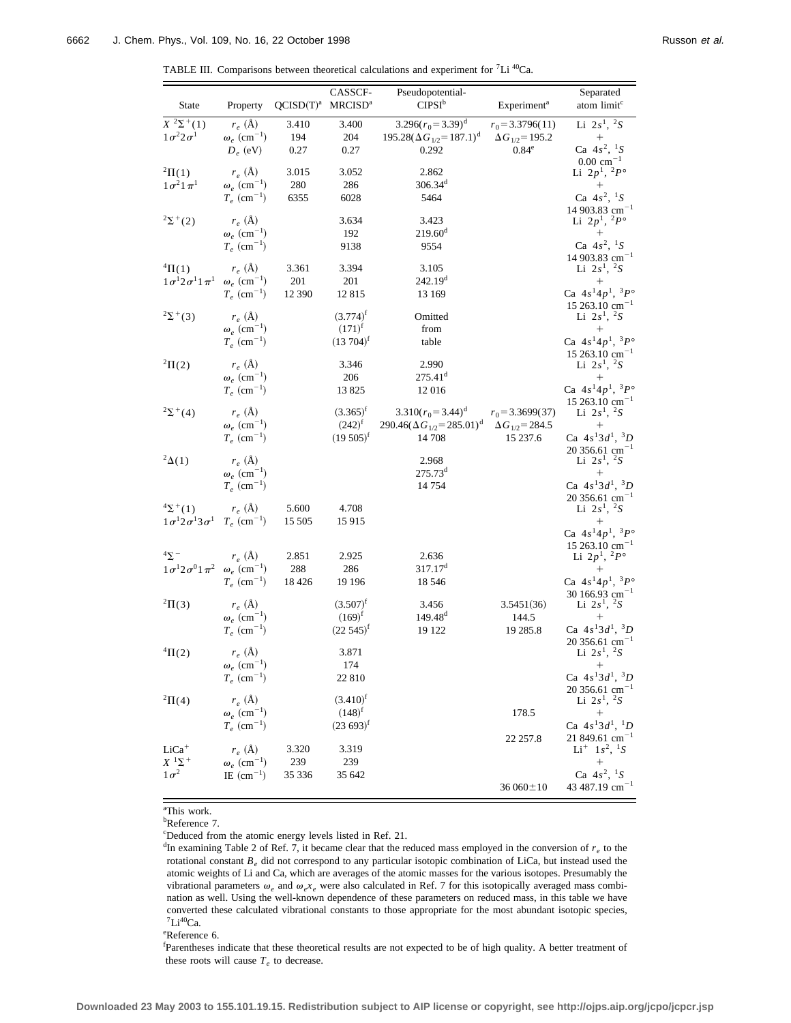|  | TABLE III. Comparisons between theoretical calculations and experiment for ${}^{7}Li~^{40}Ca$ . |  |  |  |  |  |  |  |  |
|--|-------------------------------------------------------------------------------------------------|--|--|--|--|--|--|--|--|
|--|-------------------------------------------------------------------------------------------------|--|--|--|--|--|--|--|--|

| <b>State</b>                           | Property                                    | QCISD(T) <sup>a</sup> | CASSCF-<br><b>MRCISD<sup>a</sup></b> | Pseudopotential-<br>$CIPSI^b$                                          | Experiment <sup>a</sup>                        | Separated<br>atom limit <sup>c</sup>                                  |
|----------------------------------------|---------------------------------------------|-----------------------|--------------------------------------|------------------------------------------------------------------------|------------------------------------------------|-----------------------------------------------------------------------|
| $X^{2}\Sigma^{+}(1)$                   | $r_e$ (Å)                                   | 3.410                 | 3.400                                | $3.296(r_0=3.39)^d$                                                    | $r_0$ = 3.3796(11)                             | Li $2s^1$ , ${}^2S$                                                   |
| $1\sigma^2 2\sigma^1$                  | $\omega_e~(\mathrm{cm}^{-1})$               | 194                   | 204                                  | $195.28(\Delta G_{1/2}=187.1)^d$                                       | $\Delta G_{1/2} = 195.2$                       | $^{+}$                                                                |
|                                        | $D_e$ (eV)                                  | 0.27                  | 0.27                                 | 0.292                                                                  | 0.84 <sup>e</sup>                              | Ca $4s^2$ , ${}^1S$<br>$0.00 \text{ cm}^{-1}$                         |
| $^{2}\Pi(1)$                           | $r_e$ (Å)                                   | 3.015                 | 3.052                                | 2.862                                                                  |                                                | Li $2p^1$ , $^2P^{\circ}$                                             |
| $1\sigma^2 1\pi^1$                     | $\omega_e$ (cm <sup>-1</sup> )              | 280                   | 286                                  | $306.34^d$                                                             |                                                | $^+$                                                                  |
|                                        | $T_e$ (cm <sup>-1</sup> )                   | 6355                  | 6028                                 | 5464                                                                   |                                                | Ca $4s^2$ , ${}^1S$                                                   |
| $2\Sigma^+(2)$                         | $r_e$ (Å)                                   |                       | 3.634                                | 3.423                                                                  |                                                | 14 903.83 cm <sup>-1</sup><br>Li $2p^{1}$ , $^{2}P^{\circ}$           |
|                                        | $\omega_e$ (cm <sup>-1</sup> )              |                       | 192                                  | $219.60^{\rm d}$                                                       |                                                | $^{+}$                                                                |
|                                        | $T_e$ (cm <sup>-1</sup> )                   |                       | 9138                                 | 9554                                                                   |                                                | Ca $4s^2$ , ${}^1S$                                                   |
|                                        |                                             |                       |                                      |                                                                        |                                                | $14903.83$ cm <sup>-1</sup>                                           |
| ${}^{4} \Pi(1)$                        | $r_e$ (Å)<br>$\omega_e$ (cm <sup>-1</sup> ) | 3.361                 | 3.394                                | 3.105<br>242.19 <sup>d</sup>                                           |                                                | Li $2s^1$ , ${}^2S$<br>$^{+}$                                         |
| $1\sigma^1 2\sigma^1 1\pi^1$           | $T_e$ (cm <sup>-1</sup> )                   | 201<br>12 390         | 201<br>12815                         | 13 169                                                                 |                                                | Ca $4s^14p^1$ , ${}^3P^{\circ}$                                       |
|                                        |                                             |                       |                                      |                                                                        |                                                | $15\,263.10\,\mathrm{cm}^{-1}$                                        |
| $2\Sigma^{+}(3)$                       | $r_e$ (Å)                                   |                       | $(3.774)$ <sup>f</sup>               | Omitted                                                                |                                                | Li $2s^1$ , ${}^2S$                                                   |
|                                        | $\omega_e$ (cm <sup>-1</sup> )              |                       | $(171)^{f}$                          | from                                                                   |                                                | $^{+}$                                                                |
|                                        | $T_e$ (cm <sup>-1</sup> )                   |                       | $(13\,704)^f$                        | table                                                                  |                                                | Ca $4s^14p^1$ , ${}^3P^{\circ}$                                       |
| ${}^{2}\Pi(2)$                         | $r_e$ (Å)                                   |                       | 3.346                                | 2.990                                                                  |                                                | $15\,263.10\,\mathrm{cm}^{-1}$<br>Li $2s^1$ , ${}^2S$                 |
|                                        | $\omega_e$ (cm <sup>-1</sup> )              |                       | 206                                  | $275.41$ <sup>d</sup>                                                  |                                                | $^{+}$                                                                |
|                                        | $T_e$ (cm <sup>-1</sup> )                   |                       | 13825                                | 12016                                                                  |                                                | Ca $4s^14p^1$ , ${}^3P^{\circ}$                                       |
|                                        | $r_e$ (Å)                                   |                       |                                      |                                                                        |                                                | $15\,263.10\,\mathrm{cm}^{-1}$                                        |
| $2\Sigma^+(4)$                         | $\omega_e$ (cm <sup>-1</sup> )              |                       | $(3.365)^{r}$<br>$(242)^f$           | $3.310(r_0=3.44)^d$<br>290.46( $\Delta G_{1/2}$ = 285.01) <sup>d</sup> | $r_0$ = 3.3699(37)<br>$\Delta G_{1/2} = 284.5$ | Li $2s^1$ , ${}^2S$<br>$^{+}$                                         |
|                                        | $T_e$ (cm <sup>-1</sup> )                   |                       | $(19.505)^{f}$                       | 14 708                                                                 | 15 237.6                                       | Ca $4s^13d^1$ , ${}^3D$                                               |
|                                        |                                             |                       |                                      |                                                                        |                                                | $20356.61$ cm <sup>-1</sup>                                           |
| $2\Delta(1)$                           | $r_e$ (Å)                                   |                       |                                      | 2.968                                                                  |                                                | Li $2s^1$ , ${}^2S$                                                   |
|                                        | $\omega_e$ (cm <sup>-1</sup> )              |                       |                                      | 275.73 <sup>d</sup>                                                    |                                                | $\! + \!\!\!\!$<br>Ca $4s^13d^1$ , ${}^3D$                            |
|                                        | $T_e$ (cm <sup>-1</sup> )                   |                       |                                      | 14 754                                                                 |                                                | $20356.61$ cm <sup>-1</sup>                                           |
| $\sqrt[4]{2}^{+}(1)$                   | $r_e$ (Å)                                   | 5.600                 | 4.708                                |                                                                        |                                                | Li $2s^1$ , ${}^2S$                                                   |
| $1\sigma^1 2\sigma^1 3\sigma^1$        | $T_e$ (cm <sup>-1</sup> )                   | 15 505                | 15 9 15                              |                                                                        |                                                | $^{+}$                                                                |
|                                        |                                             |                       |                                      |                                                                        |                                                | Ca $4s^14p^1$ , ${}^3P^{\circ}$                                       |
| $45 -$                                 | $r_e$ (Å)                                   | 2.851                 | 2.925                                | 2.636                                                                  |                                                | $15\,263.10\,\mathrm{cm}^{-1}$<br>Li $2p^1$ , $^2P^{\circ}$           |
| $1\sigma^1 2\sigma^0 1\pi^2$           | $\omega_e$ (cm <sup>-1</sup> )              | 288                   | 286                                  | 317.17 <sup>d</sup>                                                    |                                                | $^{+}$                                                                |
|                                        | $T_e$ (cm <sup>-1</sup> )                   | 18 4 26               | 19 19 6                              | 18 546                                                                 |                                                | Ca $4s^14p^1$ , ${}^3P^{\circ}$                                       |
|                                        |                                             |                       |                                      |                                                                        |                                                | 30 166.93 $\text{cm}^{-1}$                                            |
| ${}^{2}\Pi(3)$                         | $r_e$ (Å)<br>$\omega_e$ (cm <sup>-1</sup> ) |                       | $(3.507)^t$<br>$(169)^f$             | 3.456<br>149.48 <sup>d</sup>                                           | 3.5451(36)<br>144.5                            | Li $2s^1$ , ${}^2S$<br>$^+$                                           |
|                                        | $T_e$ (cm <sup>-1</sup> )                   |                       | $(22.545)^{f}$                       | 19 122                                                                 | 19 285.8                                       | Ca $4s^13d^1$ , ${}^3D$                                               |
|                                        |                                             |                       |                                      |                                                                        |                                                | $20\,356.61\,\mathrm{cm}^{-1}$                                        |
| ${}^{4} \Pi(2)$                        | $r_e$ (Å)                                   |                       | 3.871                                |                                                                        |                                                | Li $2s^1$ , ${}^2S$                                                   |
|                                        | $\omega_e~(\mathrm{cm}^{-1})$               |                       | 174                                  |                                                                        |                                                | $^{+}$<br>Ca $4s^13d^1$ , ${}^3D$                                     |
|                                        | $T_e$ (cm <sup>-1</sup> )                   |                       | 22 810                               |                                                                        |                                                | 20 356.61 $cm^{-1}$                                                   |
| ${}^{2}\Pi(4)$                         | $r_e~(\text{\AA})$                          |                       | $(3.410)^{f}$                        |                                                                        |                                                | Li $2s^1$ , ${}^2S$                                                   |
|                                        | $\omega_e$ (cm <sup>-1</sup> )              |                       | $(148)^f$                            |                                                                        | 178.5                                          | $\boldsymbol{+}$                                                      |
|                                        | $T_e$ (cm <sup>-1</sup> )                   |                       | $(23.693)^{f}$                       |                                                                        |                                                | Ca $4s^13d^1$ , ${}^1D$                                               |
| $LiCa+$                                | $r_e~(\mbox{\AA})$                          | 3.320                 | 3.319                                |                                                                        | 22 257.8                                       | 21 849.61 cm <sup>-1</sup><br>$Li^+$ 1s <sup>2</sup> , <sup>1</sup> S |
| $X$ <sup>1</sup> $\Sigma$ <sup>+</sup> | $\omega_e$ (cm <sup>-1</sup> )              | 239                   | 239                                  |                                                                        |                                                | $+$                                                                   |
| $1\sigma^2$                            | IE $(cm^{-1})$                              | 35 336                | 35 642                               |                                                                        |                                                | Ca $4s^2$ , ${}^1S$                                                   |
|                                        |                                             |                       |                                      |                                                                        | $36060 \pm 10$                                 | 43 487.19 $cm^{-1}$                                                   |

a This work.

<sup>b</sup>Reference 7.

c Deduced from the atomic energy levels listed in Ref. 21.

 $d$ In examining Table 2 of Ref. 7, it became clear that the reduced mass employed in the conversion of  $r_e$  to the rotational constant *Be* did not correspond to any particular isotopic combination of LiCa, but instead used the atomic weights of Li and Ca, which are averages of the atomic masses for the various isotopes. Presumably the vibrational parameters  $\omega_e$  and  $\omega_e x_e$  were also calculated in Ref. 7 for this isotopically averaged mass combination as well. Using the well-known dependence of these parameters on reduced mass, in this table we have converted these calculated vibrational constants to those appropriate for the most abundant isotopic species,  $^7Li^{40}Ca.$ 

e Reference 6.

f Parentheses indicate that these theoretical results are not expected to be of high quality. A better treatment of these roots will cause  $T_e$  to decrease.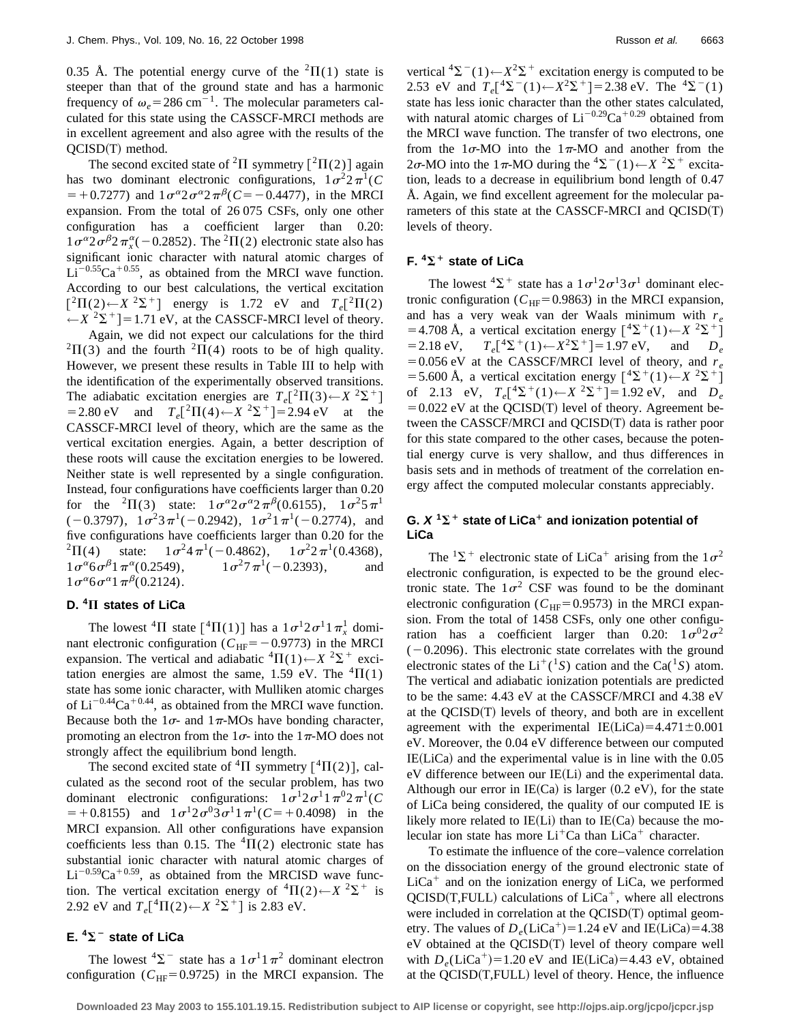0.35 Å. The potential energy curve of the  ${}^{2}\Pi(1)$  state is steeper than that of the ground state and has a harmonic frequency of  $\omega_e$ =286 cm<sup>-1</sup>. The molecular parameters calculated for this state using the CASSCF-MRCI methods are in excellent agreement and also agree with the results of the  $QCISD(T)$  method.

The second excited state of <sup>2</sup> $\Pi$  symmetry  $\lceil$ <sup>2</sup> $\Pi$ (2) again has two dominant electronic configurations,  $1\sigma^2 2\pi^1(C)$  $=$  +0.7277) and  $1\sigma^{\alpha}2\sigma^{\alpha}2\pi^{\beta}$  (*C*= -0.4477), in the MRCI expansion. From the total of 26 075 CSFs, only one other configuration has a coefficient larger than 0.20:  $1\sigma^{\alpha}2\sigma^{\beta}2\pi_x^{\alpha}(-0.2852)$ . The <sup>2</sup>II(2) electronic state also has significant ionic character with natural atomic charges of  $Li^{-0.55}Ca^{+0.55}$ , as obtained from the MRCI wave function. According to our best calculations, the vertical excitation  $\left[{}^{2}\Pi(2) \leftarrow X \ {}^{2}\Sigma^{+}\right]$  energy is 1.72 eV and  $T_e\left[{}^{2}\Pi(2)\right]$  $\leftarrow$ *X* <sup>2</sup> $\Sigma$ <sup>+</sup>]=1.71 eV, at the CASSCF-MRCI level of theory.

Again, we did not expect our calculations for the third  ${}^{2}\Pi(3)$  and the fourth  ${}^{2}\Pi(4)$  roots to be of high quality. However, we present these results in Table III to help with the identification of the experimentally observed transitions. The adiabatic excitation energies are  $T_e[^2\Pi(3) \leftarrow X^2\Sigma^+]$  $= 2.80 \text{ eV}$  and  $T_e[^2\Pi(4) \leftarrow X^2\Sigma^+]= 2.94 \text{ eV}$  at the CASSCF-MRCI level of theory, which are the same as the vertical excitation energies. Again, a better description of these roots will cause the excitation energies to be lowered. Neither state is well represented by a single configuration. Instead, four configurations have coefficients larger than 0.20 for the <sup>2</sup> $\Pi$ (3) state:  $1\sigma^{\alpha}2\sigma^{\alpha}2\pi^{\beta}$ (0.6155),  $1\sigma^25\pi^1$  $(-0.3797)$ ,  $1\sigma^2 3\pi^1(-0.2942)$ ,  $1\sigma^2 1\pi^1(-0.2774)$ , and five configurations have coefficients larger than 0.20 for the <sup>2</sup>II(4) state:  $1\sigma^2 4\pi^1(-0.4862)$ ,  $1\sigma^2 2\pi^1(0.4368)$ ,<br> $1\sigma^{\alpha} 6\sigma^{\beta} 1\pi^{\alpha}(0.2549)$ ,  $1\sigma^2 7\pi^1(-0.2393)$ , and  $1\sigma^{\alpha} 6\sigma^{\beta} 1\pi^{\alpha} (0.2549), \qquad 1\sigma^2 7\pi^1 (-0.2393), \qquad$  and  $1\sigma^{\alpha} 6\sigma^{\alpha} 1\pi^{\beta} (0.2124).$ 

## **D. <sup>4</sup>**P **states of LiCa**

The lowest <sup>4</sup> $\Pi$  state  $\left[ {}^{4}\Pi(1) \right]$  has a  $1\sigma^{1}2\sigma^{1}1\pi^{1}$  dominant electronic configuration ( $C_{\text{HF}}$ = -0.9773) in the MRCI expansion. The vertical and adiabatic  ${}^4\Pi(1) \leftarrow X {}^2\Sigma^+$  excitation energies are almost the same, 1.59 eV. The  ${}^{4}$  $\Pi(1)$ state has some ionic character, with Mulliken atomic charges of  $Li^{-0.44}Ca^{+0.44}$ , as obtained from the MRCI wave function. Because both the  $1\sigma$ - and  $1\pi$ -MOs have bonding character, promoting an electron from the  $1\sigma$ - into the  $1\pi$ -MO does not strongly affect the equilibrium bond length.

The second excited state of <sup>4</sup> $\Pi$  symmetry  $\lceil$ <sup>4</sup> $\Pi$ (2) ], calculated as the second root of the secular problem, has two dominant electronic configurations:  $1\sigma^1 2\sigma^1 1\pi^0 2\pi^1(C)$  $=+0.8155$ ) and  $1\sigma^1 2\sigma^0 3\sigma^1 1\pi^1(C=+0.4098)$  in the MRCI expansion. All other configurations have expansion coefficients less than 0.15. The  ${}^{4}$  $\Pi$ (2) electronic state has substantial ionic character with natural atomic charges of  $Li^{-0.59}Ca^{+0.59}$ , as obtained from the MRCISD wave function. The vertical excitation energy of  ${}^{4} \Pi(2) \leftarrow X \ {}^{2} \Sigma^{+}$  is 2.92 eV and  $T_e[^4\Pi(2) \leftarrow X^2\Sigma^+$ ] is 2.83 eV.

## $E.$   $4\Sigma^-$  state of LiCa

The lowest  ${}^{4}\Sigma^{-}$  state has a  $1\sigma^{1}1\pi^{2}$  dominant electron configuration ( $C_{\text{HF}}$ =0.9725) in the MRCI expansion. The vertical  ${}^{4}\Sigma^{-}(1) \leftarrow X^{2}\Sigma^{+}$  excitation energy is computed to be 2.53 eV and  $T_e[^4\Sigma^-(1)$  ←  $X^2\Sigma^+$ ] = 2.38 eV. The <sup>4</sup> $\Sigma^-(1)$ state has less ionic character than the other states calculated, with natural atomic charges of  $Li^{-0.29}Ca^{+0.29}$  obtained from the MRCI wave function. The transfer of two electrons, one from the  $1\sigma$ -MO into the  $1\pi$ -MO and another from the 2σ-MO into the 1π-MO during the <sup>4</sup>Σ<sup>-</sup>(1)←*X* <sup>2</sup>Σ<sup>+</sup> excitation, leads to a decrease in equilibrium bond length of 0.47 Å. Again, we find excellent agreement for the molecular parameters of this state at the CASSCF-MRCI and  $QCISD(T)$ levels of theory.

## **F.**  ${}^4\Sigma$ <sup>+</sup> state of LiCa

The lowest  ${}^{4}\Sigma^{+}$  state has a  $1\sigma^{1}2\sigma^{1}3\sigma^{1}$  dominant electronic configuration ( $C_{\text{HF}}$ =0.9863) in the MRCI expansion, and has a very weak van der Waals minimum with  $r_e$  $=4.708$  Å, a vertical excitation energy  $[{}^4\Sigma^+(1)$  ←  $X {}^2\Sigma^+]$ <br>= 2.18 eV,  $T_e[{}^4\Sigma^+(1)$  ←  $X^2\Sigma^+]$  = 1.97 eV, and  $D_e$  $T_e[^4\Sigma^+(1) \leftarrow X^2\Sigma^+]=1.97 \text{ eV}, \text{ and } D_e$  $=0.056$  eV at the CASSCF/MRCI level of theory, and  $r_e$ =5.600 Å, a vertical excitation energy  $[{}^4\Sigma^+(1) \leftarrow X {}^2\Sigma^+]$ of 2.13 eV,  $T_e[^4\Sigma^+(1) \leftarrow X^2\Sigma^+]=1.92 \text{ eV}$ , and  $D_e$  $=0.022$  eV at the QCISD(T) level of theory. Agreement between the CASSCF/MRCI and  $QCISD(T)$  data is rather poor for this state compared to the other cases, because the potential energy curve is very shallow, and thus differences in basis sets and in methods of treatment of the correlation energy affect the computed molecular constants appreciably.

## **G.**  $X^1\Sigma^+$  state of LiCa<sup>+</sup> and ionization potential of **LiCa**

The  ${}^{1}\Sigma^{+}$  electronic state of LiCa<sup>+</sup> arising from the  $1\sigma^{2}$ electronic configuration, is expected to be the ground electronic state. The  $1\sigma^2$  CSF was found to be the dominant electronic configuration ( $C_{HF}$ =0.9573) in the MRCI expansion. From the total of 1458 CSFs, only one other configuration has a coefficient larger than 0.20:  $1\sigma^0 2\sigma^2$  $(-0.2096)$ . This electronic state correlates with the ground electronic states of the Li<sup>+</sup>(<sup>1</sup>S) cation and the Ca(<sup>1</sup>S) atom. The vertical and adiabatic ionization potentials are predicted to be the same: 4.43 eV at the CASSCF/MRCI and 4.38 eV at the  $OCISD(T)$  levels of theory, and both are in excellent agreement with the experimental IE(LiCa)=4.471 $\pm$ 0.001 eV. Moreover, the 0.04 eV difference between our computed  $IE(LiCa)$  and the experimental value is in line with the  $0.05$  $eV$  difference between our IE(Li) and the experimental data. Although our error in IE(Ca) is larger  $(0.2 \text{ eV})$ , for the state of LiCa being considered, the quality of our computed IE is likely more related to  $IE(Li)$  than to  $IE(Ca)$  because the molecular ion state has more  $Li<sup>+</sup>Ca$  than  $LiCa<sup>+</sup>$  character.

To estimate the influence of the core–valence correlation on the dissociation energy of the ground electronic state of  $LiCa<sup>+</sup>$  and on the ionization energy of LiCa, we performed  $QCISD(T, FULL)$  calculations of  $LiCa<sup>+</sup>$ , where all electrons were included in correlation at the  $OCISD(T)$  optimal geometry. The values of  $D_e(LiCa^+) = 1.24$  eV and IE(LiCa)=4.38  $eV$  obtained at the  $QCISD(T)$  level of theory compare well with  $D_e(LiCa^+) = 1.20$  eV and IE(LiCa) = 4.43 eV, obtained at the  $QCISD(T, FULL)$  level of theory. Hence, the influence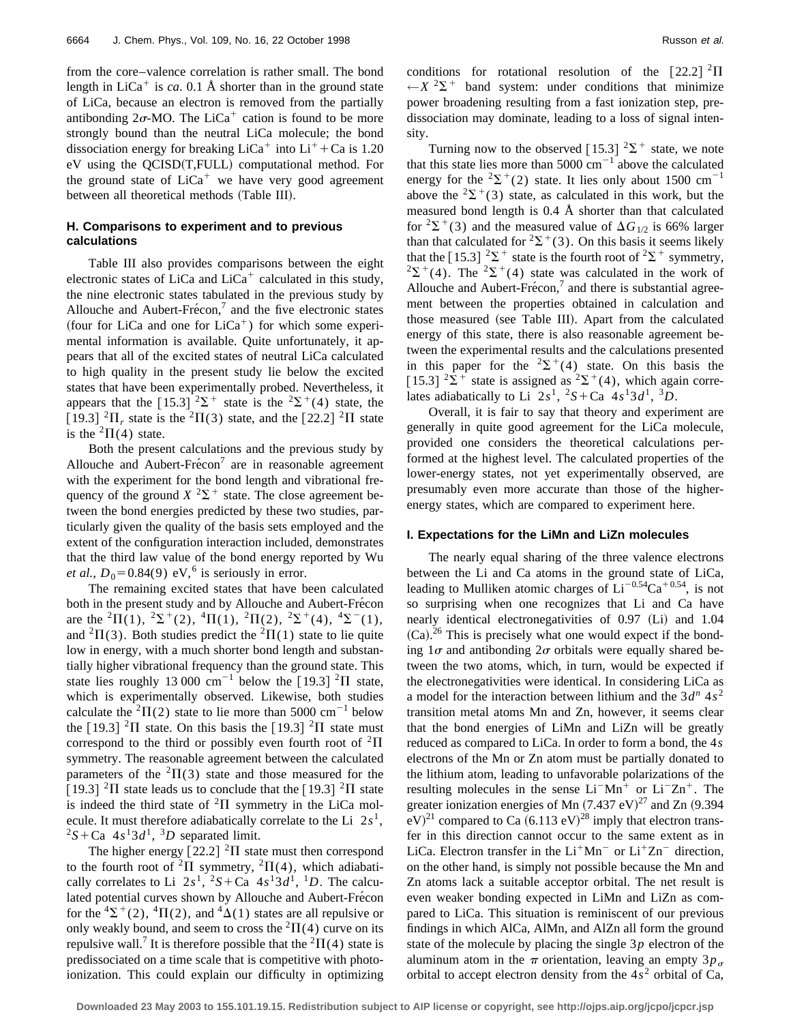from the core–valence correlation is rather small. The bond length in  $LiCa<sup>+</sup>$  is *ca*. 0.1 Å shorter than in the ground state of LiCa, because an electron is removed from the partially antibonding  $2\sigma$ -MO. The LiCa<sup>+</sup> cation is found to be more strongly bound than the neutral LiCa molecule; the bond dissociation energy for breaking  $LiCa<sup>+</sup>$  into  $Li<sup>+</sup> + Ca$  is 1.20  $eV$  using the QCISD $(T, FULL)$  computational method. For the ground state of  $LiCa<sup>+</sup>$  we have very good agreement between all theoretical methods (Table III).

### **H. Comparisons to experiment and to previous calculations**

Table III also provides comparisons between the eight electronic states of LiCa and LiCa<sup>+</sup> calculated in this study, the nine electronic states tabulated in the previous study by Allouche and Aubert-Fre $\epsilon$ con,<sup>7</sup> and the five electronic states (four for LiCa and one for LiCa<sup>+</sup>) for which some experimental information is available. Quite unfortunately, it appears that all of the excited states of neutral LiCa calculated to high quality in the present study lie below the excited states that have been experimentally probed. Nevertheless, it appears that the [15.3]  $2\Sigma^+$  state is the  $2\Sigma^+(4)$  state, the [19.3]  ${}^{2}\Pi$ <sub>r</sub> state is the  ${}^{2}\Pi(3)$  state, and the [22.2]  ${}^{2}\Pi$  state is the  ${}^{2}\Pi(4)$  state.

Both the present calculations and the previous study by Allouche and Aubert-Frécon<sup>7</sup> are in reasonable agreement with the experiment for the bond length and vibrational frequency of the ground  $X^2\Sigma^+$  state. The close agreement between the bond energies predicted by these two studies, particularly given the quality of the basis sets employed and the extent of the configuration interaction included, demonstrates that the third law value of the bond energy reported by Wu *et al.*,  $D_0 = 0.84(9)$  eV,<sup>6</sup> is seriously in error.

The remaining excited states that have been calculated both in the present study and by Allouche and Aubert-Frecon are the <sup>2</sup> $\Pi(1)$ , <sup>2</sup> $\Sigma$ <sup>+</sup>(2), <sup>4</sup> $\Pi(1)$ , <sup>2</sup> $\Pi(2)$ , <sup>2</sup> $\Sigma$ <sup>+</sup>(4), <sup>4</sup> $\Sigma$ <sup>-</sup>(1), and <sup>2</sup> $\Pi$ (3). Both studies predict the <sup>2</sup> $\Pi$ (1) state to lie quite low in energy, with a much shorter bond length and substantially higher vibrational frequency than the ground state. This state lies roughly 13 000 cm<sup>-1</sup> below the [19.3] <sup>2</sup>II state, which is experimentally observed. Likewise, both studies calculate the <sup>2</sup> $\Pi$ (2) state to lie more than 5000 cm<sup>-1</sup> below the  $\lceil 19.3 \rceil$  <sup>2</sup> $\Pi$  state. On this basis the  $\lceil 19.3 \rceil$  <sup>2</sup> $\Pi$  state must correspond to the third or possibly even fourth root of  ${}^{2}\Pi$ symmetry. The reasonable agreement between the calculated parameters of the  ${}^{2} \Pi(3)$  state and those measured for the [19.3] <sup>2</sup> $\Pi$  state leads us to conclude that the [19.3] <sup>2</sup> $\Pi$  state is indeed the third state of  ${}^{2}\Pi$  symmetry in the LiCa molecule. It must therefore adiabatically correlate to the Li  $2s<sup>1</sup>$ ,  ${}^{2}S + Ca$  4*s*<sup>1</sup>3*d*<sup>1</sup>, <sup>3</sup>*D* separated limit.

The higher energy  $\lceil 22.2 \rceil$  <sup>2</sup> $\Pi$  state must then correspond to the fourth root of <sup>2</sup> $\Pi$  symmetry, <sup>2</sup> $\Pi$ (4), which adiabatically correlates to Li  $2s^1$ ,  $2s^2 + Ca$   $4s^13d^1$ ,  $D$ . The calculated potential curves shown by Allouche and Aubert-Frecon for the  ${}^{4}\Sigma^{+}(2)$ ,  ${}^{4}\Pi(2)$ , and  ${}^{4}\Delta(1)$  states are all repulsive or only weakly bound, and seem to cross the  ${}^{2}\Pi(4)$  curve on its repulsive wall.<sup>7</sup> It is therefore possible that the <sup>2</sup> $\Pi$ (4) state is predissociated on a time scale that is competitive with photoionization. This could explain our difficulty in optimizing conditions for rotational resolution of the  $[22.2]$   $^{2}\Pi$  $\leftarrow$ *X* <sup>2</sup> $\Sigma$ <sup>+</sup> band system: under conditions that minimize power broadening resulting from a fast ionization step, predissociation may dominate, leading to a loss of signal intensity.

Turning now to the observed [15.3]  $2\Sigma^+$  state, we note that this state lies more than 5000  $cm^{-1}$  above the calculated energy for the <sup>2</sup> $\Sigma$ <sup>+</sup>(2) state. It lies only about 1500 cm<sup>-1</sup> above the  ${}^{2}\Sigma^{+}(3)$  state, as calculated in this work, but the measured bond length is 0.4 Å shorter than that calculated for <sup>2</sup> $\Sigma$ <sup>+</sup>(3) and the measured value of  $\Delta G_{1/2}$  is 66% larger than that calculated for <sup>2</sup> $\Sigma$ <sup>+</sup>(3). On this basis it seems likely that the [15.3]  $2\Sigma^+$  state is the fourth root of  $2\Sigma^+$  symmetry,  $2\Sigma^+(4)$ . The  $2\Sigma^+(4)$  state was calculated in the work of Allouche and Aubert-Frécon, $^7$  and there is substantial agreement between the properties obtained in calculation and those measured (see Table III). Apart from the calculated energy of this state, there is also reasonable agreement between the experimental results and the calculations presented in this paper for the  $2\Sigma^+(4)$  state. On this basis the [15.3]  $2\overline{\Sigma}$ <sup>+</sup> state is assigned as  $2\overline{\Sigma}$ <sup>+</sup>(4), which again correlates adiabatically to Li  $2s^1$ ,  $2s^2$  Ca  $4s^13d^1$ ,  $3D$ .

Overall, it is fair to say that theory and experiment are generally in quite good agreement for the LiCa molecule, provided one considers the theoretical calculations performed at the highest level. The calculated properties of the lower-energy states, not yet experimentally observed, are presumably even more accurate than those of the higherenergy states, which are compared to experiment here.

#### **I. Expectations for the LiMn and LiZn molecules**

The nearly equal sharing of the three valence electrons between the Li and Ca atoms in the ground state of LiCa, leading to Mulliken atomic charges of  $Li^{-0.54}Ca^{+0.54}$ , is not so surprising when one recognizes that Li and Ca have nearly identical electronegativities of  $0.97$  (Li) and  $1.04$  $(Ca).^{26}$  This is precisely what one would expect if the bonding  $1\sigma$  and antibonding  $2\sigma$  orbitals were equally shared between the two atoms, which, in turn, would be expected if the electronegativities were identical. In considering LiCa as a model for the interaction between lithium and the  $3d^n 4s^2$ transition metal atoms Mn and Zn, however, it seems clear that the bond energies of LiMn and LiZn will be greatly reduced as compared to LiCa. In order to form a bond, the 4*s* electrons of the Mn or Zn atom must be partially donated to the lithium atom, leading to unfavorable polarizations of the resulting molecules in the sense  $Li<sup>-</sup>Mn<sup>+</sup>$  or  $Li<sup>-</sup>Zn<sup>+</sup>$ . The greater ionization energies of Mn  $(7.437 \text{ eV})^{27}$  and Zn  $(9.394$  $\text{eV}<sup>21</sup>$  compared to Ca  $(6.113 \text{ eV})<sup>28</sup>$  imply that electron transfer in this direction cannot occur to the same extent as in LiCa. Electron transfer in the  $Li<sup>+</sup>Mn<sup>-</sup>$  or  $Li<sup>+</sup>Zn<sup>-</sup>$  direction, on the other hand, is simply not possible because the Mn and Zn atoms lack a suitable acceptor orbital. The net result is even weaker bonding expected in LiMn and LiZn as compared to LiCa. This situation is reminiscent of our previous findings in which AlCa, AlMn, and AlZn all form the ground state of the molecule by placing the single 3*p* electron of the aluminum atom in the  $\pi$  orientation, leaving an empty 3*p<sub>o</sub>* orbital to accept electron density from the  $4s<sup>2</sup>$  orbital of Ca,